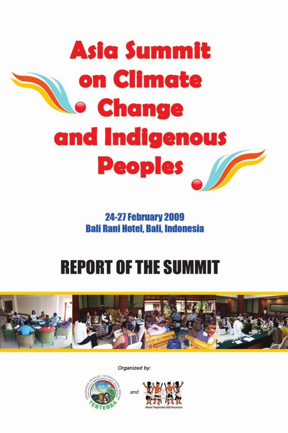

**24-27 February 2009 Bali Rani Hotel, Bali, Indonesia** 

# **REPORT OF THE SUMMIT**



Organized by:



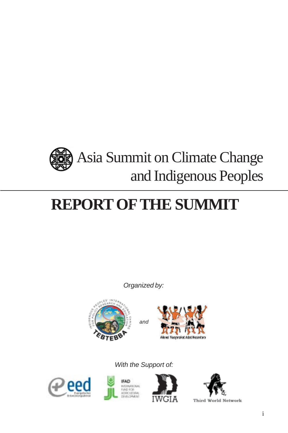

# **REPORT OF THE SUMMIT**

*Organized by:*





*With the Support of:*









Third World Network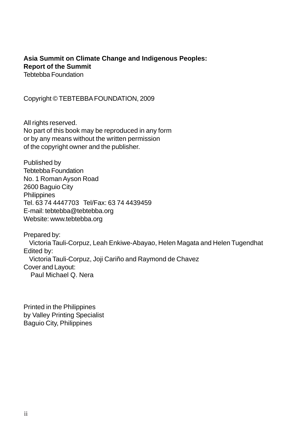#### **Asia Summit on Climate Change and Indigenous Peoples: Report of the Summit** Tebtebba Foundation

Copyright © TEBTEBBA FOUNDATION, 2009

All rights reserved. No part of this book may be reproduced in any form or by any means without the written permission of the copyright owner and the publisher.

Published by Tebtebba Foundation No. 1 Roman Ayson Road 2600 Baguio City **Philippines** Tel. 63 74 4447703 Tel/Fax: 63 74 4439459 E-mail: tebtebba@tebtebba.org Website: www.tebtebba.org

Prepared by: Victoria Tauli-Corpuz, Leah Enkiwe-Abayao, Helen Magata and Helen Tugendhat Edited by: Victoria Tauli-Corpuz, Joji Cariño and Raymond de Chavez Cover and Layout: Paul Michael Q. Nera

Printed in the Philippines by Valley Printing Specialist Baguio City, Philippines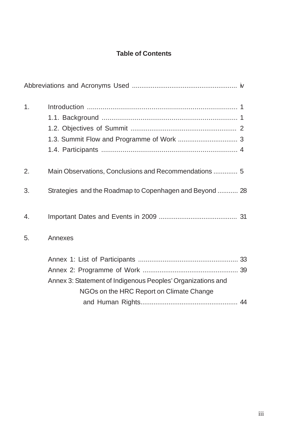## **Table of Contents**

| 1. |                                                             |  |
|----|-------------------------------------------------------------|--|
|    |                                                             |  |
|    |                                                             |  |
|    |                                                             |  |
|    |                                                             |  |
| 2. | Main Observations, Conclusions and Recommendations  5       |  |
| 3. | Strategies and the Roadmap to Copenhagen and Beyond  28     |  |
| 4. |                                                             |  |
| 5. | Annexes                                                     |  |
|    |                                                             |  |
|    |                                                             |  |
|    | Annex 3: Statement of Indigenous Peoples' Organizations and |  |
|    | NGOs on the HRC Report on Climate Change                    |  |
|    |                                                             |  |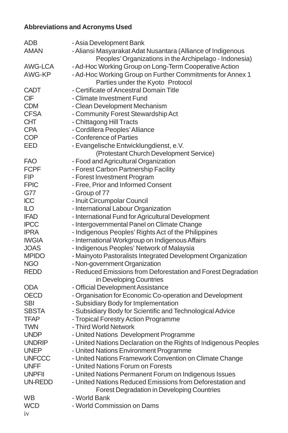# **Abbreviations and Acronyms Used**

| ADB            | - Asia Development Bank                                          |
|----------------|------------------------------------------------------------------|
| <b>AMAN</b>    | - Aliansi Masyarakat Adat Nusantara (Alliance of Indigenous      |
|                | Peoples' Organizations in the Archipelago - Indonesia)           |
| AWG-LCA        | - Ad-Hoc Working Group on Long-Term Cooperative Action           |
| AWG-KP         | - Ad-Hoc Working Group on Further Commitments for Annex 1        |
|                | Parties under the Kyoto Protocol                                 |
| <b>CADT</b>    | - Certificate of Ancestral Domain Title                          |
| <b>CIF</b>     | - Climate Investment Fund                                        |
| <b>CDM</b>     | - Clean Development Mechanism                                    |
| <b>CFSA</b>    | - Community Forest Stewardship Act                               |
| <b>CHT</b>     | - Chittagong Hill Tracts                                         |
| <b>CPA</b>     | - Cordillera Peoples' Alliance                                   |
| <b>COP</b>     | - Conference of Parties                                          |
| EED            | - Evangelische Entwicklungdienst, e.V.                           |
|                | (Protestant Church Development Service)                          |
| <b>FAO</b>     | - Food and Agricultural Organization                             |
| <b>FCPF</b>    | - Forest Carbon Partnership Facility                             |
| <b>FIP</b>     | - Forest Investment Program                                      |
| <b>FPIC</b>    | - Free, Prior and Informed Consent                               |
| G77            |                                                                  |
| ICC            | - Group of 77<br>- Inuit Circumpolar Council                     |
| <b>ILO</b>     |                                                                  |
| <b>IFAD</b>    | - International Labour Organization                              |
|                | - International Fund for Agricultural Development                |
| <b>IPCC</b>    | - Intergovernmental Panel on Climate Change                      |
| <b>IPRA</b>    | - Indigenous Peoples' Rights Act of the Philippines              |
| <b>IWGIA</b>   | - International Workgroup on Indigenous Affairs                  |
| <b>JOAS</b>    | - Indigenous Peoples' Network of Malaysia                        |
| <b>MPIDO</b>   | - Mainyoto Pastoralists Integrated Development Organization      |
| <b>NGO</b>     | - Non-government Organization                                    |
| <b>REDD</b>    | - Reduced Emissions from Deforestation and Forest Degradation    |
|                | in Developing Countries                                          |
| <b>ODA</b>     | - Official Development Assistance                                |
| <b>OECD</b>    | - Organisation for Economic Co-operation and Development         |
| <b>SBI</b>     | - Subsidiary Body for Implementation                             |
| <b>SBSTA</b>   | - Subsidiary Body for Scientific and Technological Advice        |
| <b>TFAP</b>    | - Tropical Forestry Action Programme                             |
| <b>TWN</b>     | - Third World Network                                            |
| <b>UNDP</b>    | - United Nations Development Programme                           |
| <b>UNDRIP</b>  | - United Nations Declaration on the Rights of Indigenous Peoples |
| <b>UNEP</b>    | - United Nations Environment Programme                           |
| <b>UNFCCC</b>  | - United Nations Framework Convention on Climate Change          |
| <b>UNFF</b>    | - United Nations Forum on Forests                                |
| <b>UNPFII</b>  | - United Nations Permanent Forum on Indigenous Issues            |
| <b>UN-REDD</b> | - United Nations Reduced Emissions from Deforestation and        |
|                | Forest Degradation in Developing Countries                       |
| <b>WB</b>      | - World Bank                                                     |
| <b>WCD</b>     | - World Commission on Dams                                       |
| iv             |                                                                  |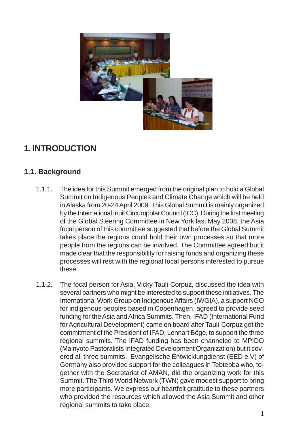

# **1. INTRODUCTION**

## **1.1. Background**

- 1.1.1. The idea for this Summit emerged from the original plan to hold a Global Summit on Indigenous Peoples and Climate Change which will be held in Alaska from 20-24 April 2009. This Global Summit is mainly organized by the International Inuit Circumpolar Council (ICC). During the first meeting of the Global Steering Committee in New York last May 2008, the Asia focal person of this committee suggested that before the Global Summit takes place the regions could hold their own processes so that more people from the regions can be involved. The Committee agreed but it made clear that the responsibility for raising funds and organizing these processes will rest with the regional focal persons interested to pursue these.
- 1.1.2. The focal person for Asia, Vicky Tauli-Corpuz, discussed the idea with several partners who might be interested to support these initiatives. The International Work Group on Indigenous Affairs (IWGIA), a support NGO for indigenous peoples based in Copenhagen, agreed to provide seed funding for the Asia and Africa Summits. Then, IFAD (International Fund for Agricultural Development) came on board after Tauli-Corpuz got the commitment of the President of IFAD, Lennart Böge, to support the three regional summits. The IFAD funding has been channeled to MPIDO (Mainyoto Pastoralists Integrated Development Organization) but it covered all three summits. Evangelische Entwicklungdienst (EED e.V) of Germany also provided support for the colleagues in Tebtebba who, together with the Secretariat of AMAN, did the organizing work for this Summit. The Third World Network (TWN) gave modest support to bring more participants. We express our heartfelt gratitude to these partners who provided the resources which allowed the Asia Summit and other regional summits to take place.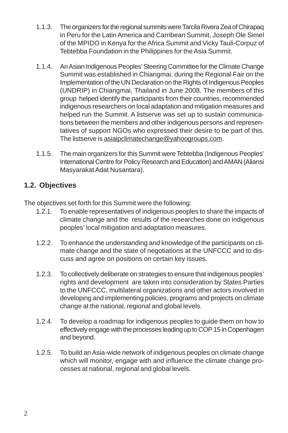- 1.1.3. The organizers for the regional summits were Tarcila Rivera Zea of Chirapaq in Peru for the Latin America and Carribean Summit, Joseph Ole Simel of the MPIDO in Kenya for the Africa Summit and Vicky Tauli-Corpuz of Tebtebba Foundation in the Philippines for the Asia Summit.
- 1.1.4. An Asian Indigenous Peoples' Steering Committee for the Climate Change Summit was established in Chiangmai, during the Regional Fair on the Implementation of the UN Declaration on the Rights of Indigenous Peoples (UNDRIP) in Chiangmai, Thailand in June 2008. The members of this group helped identify the participants from their countries, recommended indigenous researchers on local adaptation and mitigation measures and helped run the Summit. A listserve was set up to sustain communications between the members and other indigenous persons and representatives of support NGOs who expressed their desire to be part of this. The listserve is asiaipclimatechange@yahoogroups.com.
- 1.1.5. The main organizers for this Summit were Tebtebba (Indigenous Peoples' International Centre for Policy Research and Education) and AMAN (Aliansi Masyarakat Adat Nusantara).

## **1.2. Objectives**

The objectives set forth for this Summit were the following:

- 1.2.1. To enable representatives of indigenous peoples to share the impacts of climate change and the results of the researches done on indigenous peoples' local mitigation and adaptation measures.
- 1.2.2. To enhance the understanding and knowledge of the participants on climate change and the state of negotiations at the UNFCCC and to discuss and agree on positions on certain key issues.
- 1.2.3. To collectively deliberate on strategies to ensure that indigenous peoples' rights and development are taken into consideration by States Parties to the UNFCCC, multilateral organizations and other actors involved in developing and implementing policies, programs and projects on climate change at the national, regional and global levels.
- 1.2.4. To develop a roadmap for indigenous peoples to guide them on how to effectively engage with the processes leading up to COP 15 in Copenhagen and beyond.
- 1.2.5. To build an Asia-wide network of indigenous peoples on climate change which will monitor, engage with and influence the climate change processes at national, regional and global levels.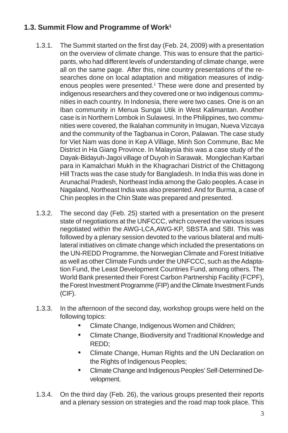## **1.3. Summit Flow and Programme of Work1**

- 1.3.1. The Summit started on the first day (Feb. 24, 2009) with a presentation on the overview of climate change. This was to ensure that the participants, who had different levels of understanding of climate change, were all on the same page. After this, nine country presentations of the researches done on local adaptation and mitigation measures of indigenous peoples were presented.<sup>1</sup> These were done and presented by indigenous researchers and they covered one or two indigenous communities in each country. In Indonesia, there were two cases. One is on an Iban community in Menua Sungai Utik in West Kalimantan. Another case is in Northern Lombok in Sulawesi. In the Philippines, two communities were covered, the Ikalahan community in Imugan, Nueva Vizcaya and the community of the Tagbanua in Coron, Palawan. The case study for Viet Nam was done in Kep A Village, Minh Son Commune, Bac Me District in Ha Giang Province. In Malaysia this was a case study of the Dayak-Bidayuh-Jagoi village of Duyoh in Sarawak. Monglechan Karbari para in Kamalchari Mukh in the Khagrachari District of the Chittagong Hill Tracts was the case study for Bangladesh. In India this was done in Arunachal Pradesh, Northeast India among the Galo peoples. A case in Nagaland, Northeast India was also presented. And for Burma, a case of Chin peoples in the Chin State was prepared and presented.
- 1.3.2. The second day (Feb. 25) started with a presentation on the present state of negotiations at the UNFCCC, which covered the various issues negotiated within the AWG-LCA,AWG-KP, SBSTA and SBI. This was followed by a plenary session devoted to the various bilateral and multilateral initiatives on climate change which included the presentations on the UN-REDD Programme, the Norwegian Climate and Forest Initiative as well as other Climate Funds under the UNFCCC, such as the Adaptation Fund, the Least Development Countries Fund, among others. The World Bank presented their Forest Carbon Partnership Facility (FCPF), the Forest Investment Programme (FIP) and the Climate Investment Funds (CIF).
- 1.3.3. In the afternoon of the second day, workshop groups were held on the following topics:
	- Climate Change, Indigenous Women and Children;
	- Climate Change, Biodiversity and Traditional Knowledge and REDD;
	- Climate Change, Human Rights and the UN Declaration on the Rights of Indigenous Peoples;
	- Climate Change and Indigenous Peoples' Self-Determined Development.
- 1.3.4. On the third day (Feb. 26), the various groups presented their reports and a plenary session on strategies and the road map took place. This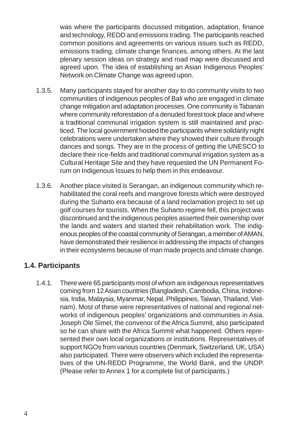was where the participants discussed mitigation, adaptation, finance and technology, REDD and emissions trading. The participants reached common positions and agreements on various issues such as REDD, emissions trading, climate change finances, among others. At the last plenary session ideas on strategy and road map were discussed and agreed upon. The idea of establishing an Asian Indigenous Peoples' Network on Climate Change was agreed upon.

- 1.3.5. Many participants stayed for another day to do community visits to two communities of indigenous peoples of Bali who are engaged in climate change mitigation and adaptation processes. One community is Tabanan where community reforestation of a denuded forest took place and where a traditional communal irrigation system is still maintained and practiced. The local government hosted the participants where solidarity night celebrations were undertaken where they showed their culture through dances and songs. They are in the process of getting the UNESCO to declare their rice-fields and traditional communal irrigation system as a Cultural Heritage Site and they have requested the UN Permanent Forum on Indigenous Issues to help them in this endeavour.
- 1.3.6. Another place visited is Serangan, an indigenous community which rehabilitated the coral reefs and mangrove forests which were destroyed during the Suharto era because of a land reclamation project to set up golf courses for tourists. When the Suharto regime fell, this project was discontinued and the indigenous peoples asserted their ownership over the lands and waters and started their rehabilitation work. The indigenous peoples of the coastal community of Serangan, a member of AMAN, have demonstrated their resilience in addressing the impacts of changes in their ecosystems because of man made projects and climate change.

#### **1.4. Participants**

1.4.1. There were 65 participants most of whom are indigenous representatives coming from 12 Asian countries (Bangladesh, Cambodia, China, Indonesia, India, Malaysia, Myanmar, Nepal, Philippines, Taiwan, Thailand, Vietnam). Most of these were representatives of national and regional networks of indigenous peoples' organizations and communities in Asia. Joseph Ole Simel, the convenor of the Africa Summit, also participated so he can share with the Africa Summit what happened. Others represented their own local organizations or institutions. Representatives of support NGOs from various countries (Denmark, Switzerland, UK, USA) also participated. There were observers which included the representatives of the UN-REDD Programme, the World Bank, and the UNDP. (Please refer to Annex 1 for a complete list of participants.)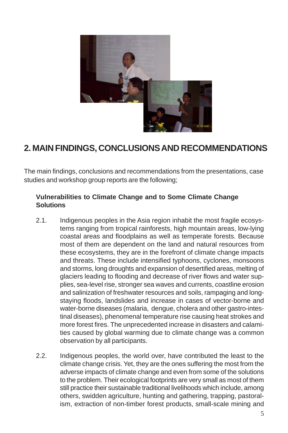

# **2. MAIN FINDINGS, CONCLUSIONS AND RECOMMENDATIONS**

The main findings, conclusions and recommendations from the presentations, case studies and workshop group reports are the following;

#### **Vulnerabilities to Climate Change and to Some Climate Change Solutions**

- 2.1. Indigenous peoples in the Asia region inhabit the most fragile ecosystems ranging from tropical rainforests, high mountain areas, low-lying coastal areas and floodplains as well as temperate forests. Because most of them are dependent on the land and natural resources from these ecosystems, they are in the forefront of climate change impacts and threats. These include intensified typhoons, cyclones, monsoons and storms, long droughts and expansion of desertified areas, melting of glaciers leading to flooding and decrease of river flows and water supplies, sea-level rise, stronger sea waves and currents, coastline erosion and salinization of freshwater resources and soils, rampaging and longstaying floods, landslides and increase in cases of vector-borne and water-borne diseases (malaria, dengue, cholera and other gastro-intestinal diseases), phenomenal temperature rise causing heat strokes and more forest fires. The unprecedented increase in disasters and calamities caused by global warming due to climate change was a common observation by all participants.
- 2.2. Indigenous peoples, the world over, have contributed the least to the climate change crisis. Yet, they are the ones suffering the most from the adverse impacts of climate change and even from some of the solutions to the problem. Their ecological footprints are very small as most of them still practice their sustainable traditional livelihoods which include, among others, swidden agriculture, hunting and gathering, trapping, pastoralism, extraction of non-timber forest products, small-scale mining and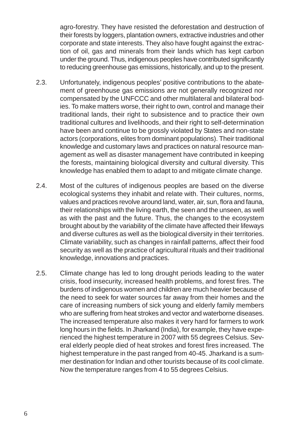agro-forestry. They have resisted the deforestation and destruction of their forests by loggers, plantation owners, extractive industries and other corporate and state interests. They also have fought against the extraction of oil, gas and minerals from their lands which has kept carbon under the ground. Thus, indigenous peoples have contributed significantly to reducing greenhouse gas emissions, historically, and up to the present.

- 2.3. Unfortunately, indigenous peoples' positive contributions to the abatement of greenhouse gas emissions are not generally recognized nor compensated by the UNFCCC and other multilateral and bilateral bodies. To make matters worse, their right to own, control and manage their traditional lands, their right to subsistence and to practice their own traditional cultures and livelihoods, and their right to self-determination have been and continue to be grossly violated by States and non-state actors (corporations, elites from dominant populations). Their traditional knowledge and customary laws and practices on natural resource management as well as disaster management have contributed in keeping the forests, maintaining biological diversity and cultural diversity. This knowledge has enabled them to adapt to and mitigate climate change.
- 2.4. Most of the cultures of indigenous peoples are based on the diverse ecological systems they inhabit and relate with. Their cultures, norms, values and practices revolve around land, water, air, sun, flora and fauna, their relationships with the living earth, the seen and the unseen, as well as with the past and the future. Thus, the changes to the ecosystem brought about by the variability of the climate have affected their lifeways and diverse cultures as well as the biological diversity in their territories. Climate variability, such as changes in rainfall patterns, affect their food security as well as the practice of agricultural rituals and their traditional knowledge, innovations and practices.
- 2.5. Climate change has led to long drought periods leading to the water crisis, food insecurity, increased health problems, and forest fires. The burdens of indigenous women and children are much heavier because of the need to seek for water sources far away from their homes and the care of increasing numbers of sick young and elderly family members who are suffering from heat strokes and vector and waterborne diseases. The increased temperature also makes it very hard for farmers to work long hours in the fields. In Jharkand (India), for example, they have experienced the highest temperature in 2007 with 55 degrees Celsius. Several elderly people died of heat strokes and forest fires increased. The highest temperature in the past ranged from 40-45. Jharkand is a summer destination for Indian and other tourists because of its cool climate. Now the temperature ranges from 4 to 55 degrees Celsius.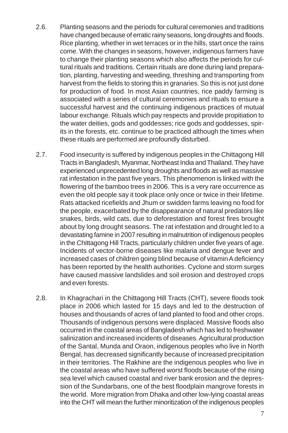- 2.6. Planting seasons and the periods for cultural ceremonies and traditions have changed because of erratic rainy seasons, long droughts and floods. Rice planting, whether in wet terraces or in the hills, start once the rains come. With the changes in seasons, however, indigenous farmers have to change their planting seasons which also affects the periods for cultural rituals and traditions. Certain rituals are done during land preparation, planting, harvesting and weeding, threshing and transporting from harvest from the fields to storing this in granaries. So this is not just done for production of food. In most Asian countries, rice paddy farming is associated with a series of cultural ceremonies and rituals to ensure a successful harvest and the continuing indigenous practices of mutual labour exchange. Rituals which pay respects and provide propitiation to the water deities, gods and goddesses; rice gods and goddesses, spirits in the forests, etc. continue to be practiced although the times when these rituals are performed are profoundly disturbed.
- 2.7. Food insecurity is suffered by indigenous peoples in the Chittagong Hill Tracts in Bangladesh, Myanmar, Northeast India and Thailand. They have experienced unprecedented long droughts and floods as well as massive rat infestation in the past five years. This phenomenon is linked with the flowering of the bamboo trees in 2006. This is a very rare occurrence as even the old people say it took place only once or twice in their lifetime. Rats attacked ricefields and Jhum or swidden farms leaving no food for the people, exacerbated by the disappearance of natural predators like snakes, birds, wild cats, due to deforestation and forest fires brought about by long drought seasons. The rat infestation and drought led to a devastating famine in 2007 resulting in malnutrition of indigenous peoples in the Chittagong Hill Tracts, particularly children under five years of age. Incidents of vector-borne diseases like malaria and dengue fever and increased cases of children going blind because of vitamin A deficiency has been reported by the health authorities. Cyclone and storm surges have caused massive landslides and soil erosion and destroyed crops and even forests.
- 2.8. In Khagrachari in the Chittagong Hill Tracts (CHT), severe floods took place in 2006 which lasted for 15 days and led to the destruction of houses and thousands of acres of land planted to food and other crops. Thousands of indigenous persons were displaced. Massive floods also occurred in the coastal areas of Bangladesh which has led to freshwater salinization and increased incidents of diseases. Agricultural production of the Santal, Munda and Oraon, indigenous peoples who live in North Bengal, has decreased significantly because of increased precipitation in their territories. The Rakhine are the indigenous peoples who live in the coastal areas who have suffered worst floods because of the rising sea level which caused coastal and river bank erosion and the depression of the Sundarbans, one of the best floodplain mangrove forests in the world. More migration from Dhaka and other low-lying coastal areas into the CHT will mean the further minoritization of the indigenous peoples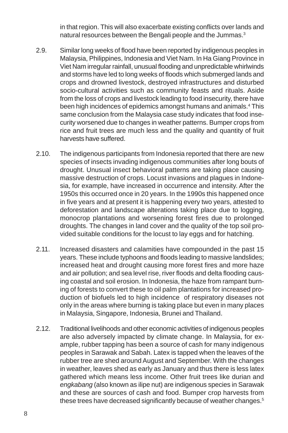in that region. This will also exacerbate existing conflicts over lands and natural resources between the Bengali people and the Jummas.<sup>3</sup>

- 2.9. Similar long weeks of flood have been reported by indigenous peoples in Malaysia, Philippines, Indonesia and Viet Nam. In Ha Giang Province in Viet Nam irregular rainfall, unusual flooding and unpredictable whirlwinds and storms have led to long weeks of floods which submerged lands and crops and drowned livestock, destroyed infrastructures and disturbed socio-cultural activities such as community feasts and rituals. Aside from the loss of crops and livestock leading to food insecurity, there have been high incidences of epidemics amongst humans and animals.<sup>4</sup> This same conclusion from the Malaysia case study indicates that food insecurity worsened due to changes in weather patterns. Bumper crops from rice and fruit trees are much less and the quality and quantity of fruit harvests have suffered.
- 2.10. The indigenous participants from Indonesia reported that there are new species of insects invading indigenous communities after long bouts of drought. Unusual insect behavioral patterns are taking place causing massive destruction of crops. Locust invasions and plagues in Indonesia, for example, have increased in occurrence and intensity. After the 1950s this occurred once in 20 years. In the 1990s this happened once in five years and at present it is happening every two years, attested to deforestation and landscape alterations taking place due to logging, monocrop plantations and worsening forest fires due to prolonged droughts. The changes in land cover and the quality of the top soil provided suitable conditions for the locust to lay eggs and for hatching.
- 2.11. Increased disasters and calamities have compounded in the past 15 years. These include typhoons and floods leading to massive landslides; increased heat and drought causing more forest fires and more haze and air pollution; and sea level rise, river floods and delta flooding causing coastal and soil erosion. In Indonesia, the haze from rampant burning of forests to convert these to oil palm plantations for increased production of biofuels led to high incidence of respiratory diseases not only in the areas where burning is taking place but even in many places in Malaysia, Singapore, Indonesia, Brunei and Thailand.
- 2.12. Traditional livelihoods and other economic activities of indigenous peoples are also adversely impacted by climate change. In Malaysia, for example, rubber tapping has been a source of cash for many indigenous peoples in Sarawak and Sabah. Latex is tapped when the leaves of the rubber tree are shed around August and September. With the changes in weather, leaves shed as early as January and thus there is less latex gathered which means less income. Other fruit trees like durian and *engkabang* (also known as ilipe nut) are indigenous species in Sarawak and these are sources of cash and food. Bumper crop harvests from these trees have decreased significantly because of weather changes.<sup>5</sup>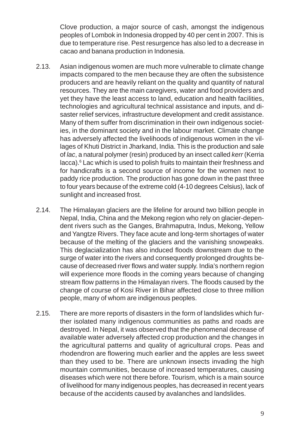Clove production, a major source of cash, amongst the indigenous peoples of Lombok in Indonesia dropped by 40 per cent in 2007. This is due to temperature rise. Pest resurgence has also led to a decrease in cacao and banana production in Indonesia.

- 2.13. Asian indigenous women are much more vulnerable to climate change impacts compared to the men because they are often the subsistence producers and are heavily reliant on the quality and quantity of natural resources. They are the main caregivers, water and food providers and yet they have the least access to land, education and health facilities, technologies and agricultural technical assistance and inputs, and disaster relief services, infrastructure development and credit assistance. Many of them suffer from discrimination in their own indigenous societies, in the dominant society and in the labour market. Climate change has adversely affected the livelihoods of indigenous women in the villages of Khuti District in Jharkand, India. This is the production and sale of *lac*, a natural polymer (resin) produced by an insect called *kerr* (Kerria lacca).<sup>6</sup> Lac which is used to polish fruits to maintain their freshness and for handicrafts is a second source of income for the women next to paddy rice production. The production has gone down in the past three to four years because of the extreme cold (4-10 degrees Celsius), lack of sunlight and increased frost.
- 2.14. The Himalayan glaciers are the lifeline for around two billion people in Nepal, India, China and the Mekong region who rely on glacier-dependent rivers such as the Ganges, Brahmaputra, Indus, Mekong, Yellow and Yangtze Rivers. They face acute and long-term shortages of water because of the melting of the glaciers and the vanishing snowpeaks. This deglacialization has also induced floods downstream due to the surge of water into the rivers and consequently prolonged droughts because of decreased river flows and water supply. India's northern region will experience more floods in the coming years because of changing stream flow patterns in the Himalayan rivers. The floods caused by the change of course of Kosi River in Bihar affected close to three million people, many of whom are indigenous peoples.
- 2.15. There are more reports of disasters in the form of landslides which further isolated many indigenous communities as paths and roads are destroyed. In Nepal, it was observed that the phenomenal decrease of available water adversely affected crop production and the changes in the agricultural patterns and quality of agricultural crops. Peas and rhodendron are flowering much earlier and the apples are less sweet than they used to be. There are unknown insects invading the high mountain communities, because of increased temperatures, causing diseases which were not there before. Tourism, which is a main source of livelihood for many indigenous peoples, has decreased in recent years because of the accidents caused by avalanches and landslides.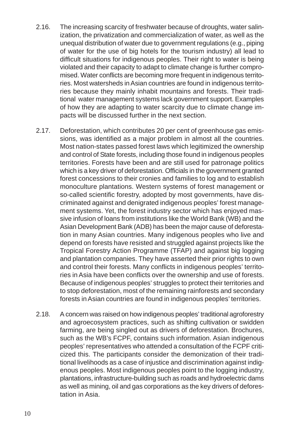- 2.16. The increasing scarcity of freshwater because of droughts, water salinization, the privatization and commercialization of water, as well as the unequal distribution of water due to government regulations (e.g., piping of water for the use of big hotels for the tourism industry) all lead to difficult situations for indigenous peoples. Their right to water is being violated and their capacity to adapt to climate change is further compromised. Water conflicts are becoming more frequent in indigenous territories. Most watersheds in Asian countries are found in indigenous territories because they mainly inhabit mountains and forests. Their traditional water management systems lack government support. Examples of how they are adapting to water scarcity due to climate change impacts will be discussed further in the next section.
- 2.17. Deforestation, which contributes 20 per cent of greenhouse gas emissions, was identified as a major problem in almost all the countries. Most nation-states passed forest laws which legitimized the ownership and control of State forests, including those found in indigenous peoples territories. Forests have been and are still used for patronage politics which is a key driver of deforestation. Officials in the government granted forest concessions to their cronies and families to log and to establish monoculture plantations. Western systems of forest management or so-called scientific forestry, adopted by most governments, have discriminated against and denigrated indigenous peoples' forest management systems. Yet, the forest industry sector which has enjoyed massive infusion of loans from institutions like the World Bank (WB) and the Asian Development Bank (ADB) has been the major cause of deforestation in many Asian countries. Many indigenous peoples who live and depend on forests have resisted and struggled against projects like the Tropical Forestry Action Programme (TFAP) and against big logging and plantation companies. They have asserted their prior rights to own and control their forests. Many conflicts in indigenous peoples' territories in Asia have been conflicts over the ownership and use of forests. Because of indigenous peoples' struggles to protect their territories and to stop deforestation, most of the remaining rainforests and secondary forests in Asian countries are found in indigenous peoples' territories.
- 2.18. A concern was raised on how indigenous peoples' traditional agroforestry and agroecosystem practices, such as shifting cultivation or swidden farming, are being singled out as drivers of deforestation. Brochures, such as the WB's FCPF, contains such information. Asian indigenous peoples' representatives who attended a consultation of the FCPF criticized this. The participants consider the demonization of their traditional livelihoods as a case of injustice and discrimination against indigenous peoples. Most indigenous peoples point to the logging industry, plantations, infrastructure-building such as roads and hydroelectric dams as well as mining, oil and gas corporations as the key drivers of deforestation in Asia.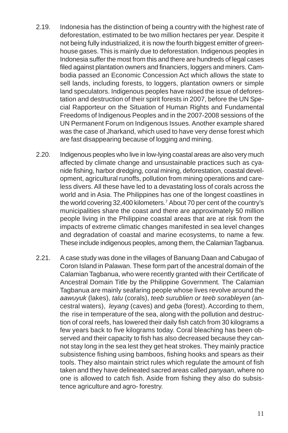- 2.19. Indonesia has the distinction of being a country with the highest rate of deforestation, estimated to be two million hectares per year. Despite it not being fully industrialized, it is now the fourth biggest emitter of greenhouse gases. This is mainly due to deforestation. Indigenous peoples in Indonesia suffer the most from this and there are hundreds of legal cases filed against plantation owners and financiers, loggers and miners. Cambodia passed an Economic Concession Act which allows the state to sell lands, including forests, to loggers, plantation owners or simple land speculators. Indigenous peoples have raised the issue of deforestation and destruction of their spirit forests in 2007, before the UN Special Rapporteur on the Situation of Human Rights and Fundamental Freedoms of Indigenous Peoples and in the 2007-2008 sessions of the UN Permanent Forum on Indigenous Issues. Another example shared was the case of Jharkand, which used to have very dense forest which are fast disappearing because of logging and mining.
- 2.20. Indigenous peoples who live in low-lying coastal areas are also very much affected by climate change and unsustainable practices such as cyanide fishing, harbor dredging, coral mining, deforestation, coastal development, agricultural runoffs, pollution from mining operations and careless divers. All these have led to a devastating loss of corals across the world and in Asia. The Philippines has one of the longest coastlines in the world covering 32,400 kilometers.7 About 70 per cent of the country's municipalities share the coast and there are approximately 50 million people living in the Philippine coastal areas that are at risk from the impacts of extreme climatic changes manifested in sea level changes and degradation of coastal and marine ecosystems, to name a few. These include indigenous peoples, among them, the Calamian Tagbanua.
- 2.21. A case study was done in the villages of Banuang Daan and Cabugao of Coron Island in Palawan. These form part of the ancestral domain of the Calamian Tagbanua, who were recently granted with their Certificate of Ancestral Domain Title by the Philippine Government. The Calamian Tagbanua are mainly seafaring people whose lives revolve around the *aawuyuk* (lakes), *talu* (corals), *teeb surublien or teeb sorableyen* (ancestral waters), *leyang* (caves) and *geba* (forest). According to them, the rise in temperature of the sea, along with the pollution and destruction of coral reefs, has lowered their daily fish catch from 30 kilograms a few years back to five kilograms today. Coral bleaching has been observed and their capacity to fish has also decreased because they cannot stay long in the sea lest they get heat strokes. They mainly practice subsistence fishing using bamboos, fishing hooks and spears as their tools. They also maintain strict rules which regulate the amount of fish taken and they have delineated sacred areas called *panyaan*, where no one is allowed to catch fish. Aside from fishing they also do subsistence agriculture and agro- forestry.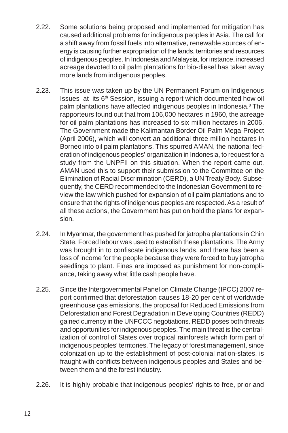- 2.22. Some solutions being proposed and implemented for mitigation has caused additional problems for indigenous peoples in Asia. The call for a shift away from fossil fuels into alternative, renewable sources of energy is causing further expropriation of the lands, territories and resources of indigenous peoples. In Indonesia and Malaysia, for instance, increased acreage devoted to oil palm plantations for bio-diesel has taken away more lands from indigenous peoples.
- 2.23. This issue was taken up by the UN Permanent Forum on Indigenous Issues at its 6<sup>th</sup> Session, issuing a report which documented how oil palm plantations have affected indigenous peoples in Indonesia.<sup>8</sup> The rapporteurs found out that from 106,000 hectares in 1960, the acreage for oil palm plantations has increased to six million hectares in 2006. The Government made the Kalimantan Border Oil Palm Mega-Project (April 2006), which will convert an additional three million hectares in Borneo into oil palm plantations. This spurred AMAN, the national federation of indigenous peoples' organization in Indonesia, to request for a study from the UNPFII on this situation. When the report came out, AMAN used this to support their submission to the Committee on the Elimination of Racial Discrimination (CERD), a UN Treaty Body. Subsequently, the CERD recommended to the Indonesian Government to review the law which pushed for expansion of oil palm plantations and to ensure that the rights of indigenous peoples are respected. As a result of all these actions, the Government has put on hold the plans for expansion.
- 2.24. In Myanmar, the government has pushed for jatropha plantations in Chin State. Forced labour was used to establish these plantations. The Army was brought in to confiscate indigenous lands, and there has been a loss of income for the people because they were forced to buy jatropha seedlings to plant. Fines are imposed as punishment for non-compliance, taking away what little cash people have.
- 2.25. Since the Intergovernmental Panel on Climate Change (IPCC) 2007 report confirmed that deforestation causes 18-20 per cent of worldwide greenhouse gas emissions, the proposal for Reduced Emissions from Deforestation and Forest Degradation in Developing Countries (REDD) gained currency in the UNFCCC negotiations. REDD poses both threats and opportunities for indigenous peoples. The main threat is the centralization of control of States over tropical rainforests which form part of indigenous peoples' territories. The legacy of forest management, since colonization up to the establishment of post-colonial nation-states, is fraught with conflicts between indigenous peoples and States and between them and the forest industry.
- 2.26. It is highly probable that indigenous peoples' rights to free, prior and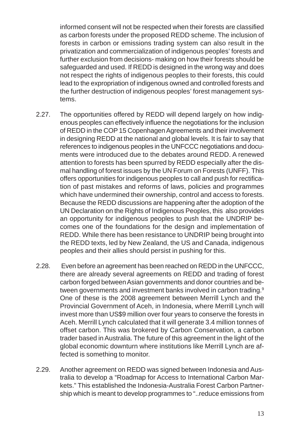informed consent will not be respected when their forests are classified as carbon forests under the proposed REDD scheme. The inclusion of forests in carbon or emissions trading system can also result in the privatization and commercialization of indigenous peoples' forests and further exclusion from decisions- making on how their forests should be safeguarded and used. If REDD is designed in the wrong way and does not respect the rights of indigenous peoples to their forests, this could lead to the expropriation of indigenous owned and controlled forests and the further destruction of indigenous peoples' forest management systems.

- 2.27. The opportunities offered by REDD will depend largely on how indigenous peoples can effectively influence the negotiations for the inclusion of REDD in the COP 15 Copenhagen Agreements and their involvement in designing REDD at the national and global levels. It is fair to say that references to indigenous peoples in the UNFCCC negotiations and documents were introduced due to the debates around REDD. A renewed attention to forests has been spurred by REDD especially after the dismal handling of forest issues by the UN Forum on Forests (UNFF). This offers opportunities for indigenous peoples to call and push for rectification of past mistakes and reforms of laws, policies and programmes which have undermined their ownership, control and access to forests. Because the REDD discussions are happening after the adoption of the UN Declaration on the Rights of Indigenous Peoples, this also provides an opportunity for indigenous peoples to push that the UNDRIP becomes one of the foundations for the design and implementation of REDD. While there has been resistance to UNDRIP being brought into the REDD texts, led by New Zealand, the US and Canada, indigenous peoples and their allies should persist in pushing for this.
- 2.28. Even before an agreement has been reached on REDD in the UNFCCC, there are already several agreements on REDD and trading of forest carbon forged between Asian governments and donor countries and between governments and investment banks involved in carbon trading.<sup>9</sup> One of these is the 2008 agreement between Merrill Lynch and the Provincial Government of Aceh, in Indonesia, where Merrill Lynch will invest more than US\$9 million over four years to conserve the forests in Aceh. Merrill Lynch calculated that it will generate 3.4 million tonnes of offset carbon. This was brokered by Carbon Conservation, a carbon trader based in Australia. The future of this agreement in the light of the global economic downturn where institutions like Merrill Lynch are affected is something to monitor.
- 2.29. Another agreement on REDD was signed between Indonesia and Australia to develop a "Roadmap for Access to International Carbon Markets." This established the Indonesia-Australia Forest Carbon Partnership which is meant to develop programmes to "..reduce emissions from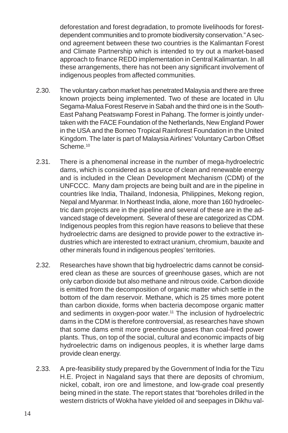deforestation and forest degradation, to promote livelihoods for forestdependent communities and to promote biodiversity conservation." A second agreement between these two countries is the Kalimantan Forest and Climate Partnership which is intended to try out a market-based approach to finance REDD implementation in Central Kalimantan. In all these arrangements, there has not been any significant involvement of indigenous peoples from affected communities.

- 2.30. The voluntary carbon market has penetrated Malaysia and there are three known projects being implemented. Two of these are located in Ulu Segama-Malua Forest Reserve in Sabah and the third one is in the South-East Pahang Peatswamp Forest in Pahang. The former is jointly undertaken with the FACE Foundation of the Netherlands, New England Power in the USA and the Borneo Tropical Rainforest Foundation in the United Kingdom. The later is part of Malaysia Airlines' Voluntary Carbon Offset Scheme.<sup>10</sup>
- 2.31. There is a phenomenal increase in the number of mega-hydroelectric dams, which is considered as a source of clean and renewable energy and is included in the Clean Development Mechanism (CDM) of the UNFCCC. Many dam projects are being built and are in the pipeline in countries like India, Thailand, Indonesia, Philippines, Mekong region, Nepal and Myanmar. In Northeast India, alone, more than 160 hydroelectric dam projects are in the pipeline and several of these are in the advanced stage of development. Several of these are categorized as CDM. Indigenous peoples from this region have reasons to believe that these hydroelectric dams are designed to provide power to the extractive industries which are interested to extract uranium, chromium, bauxite and other minerals found in indigenous peoples' territories.
- 2.32. Researches have shown that big hydroelectric dams cannot be considered clean as these are sources of greenhouse gases, which are not only carbon dioxide but also methane and nitrous oxide. Carbon dioxide is emitted from the decomposition of organic matter which settle in the bottom of the dam reservoir. Methane, which is 25 times more potent than carbon dioxide, forms when bacteria decompose organic matter and sediments in oxygen-poor water.<sup>11</sup> The inclusion of hydroelectric dams in the CDM is therefore controversial, as researches have shown that some dams emit more greenhouse gases than coal-fired power plants. Thus, on top of the social, cultural and economic impacts of big hydroelectric dams on indigenous peoples, it is whether large dams provide clean energy.
- 2.33. A pre-feasibility study prepared by the Government of India for the Tizu H.E. Project in Nagaland says that there are deposits of chromium, nickel, cobalt, iron ore and limestone, and low-grade coal presently being mined in the state. The report states that "boreholes drilled in the western districts of Wokha have yielded oil and seepages in Dikhu val-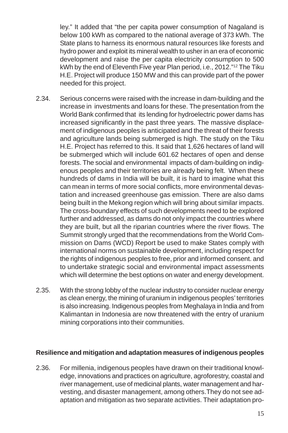ley." It added that "the per capita power consumption of Nagaland is below 100 kWh as compared to the national average of 373 kWh. The State plans to harness its enormous natural resources like forests and hydro power and exploit its mineral wealth to usher in an era of economic development and raise the per capita electricity consumption to 500 kWh by the end of Eleventh Five year Plan period, i.e., 2012."12 The Tiku H.E. Project will produce 150 MW and this can provide part of the power needed for this project.

- 2.34. Serious concerns were raised with the increase in dam-building and the increase in investments and loans for these. The presentation from the World Bank confirmed that its lending for hydroelectric power dams has increased significantly in the past three years. The massive displacement of indigenous peoples is anticipated and the threat of their forests and agriculture lands being submerged is high. The study on the Tiku H.E. Project has referred to this. It said that 1,626 hectares of land will be submerged which will include 601.62 hectares of open and dense forests. The social and environmental impacts of dam-building on indigenous peoples and their territories are already being felt. When these hundreds of dams in India will be built, it is hard to imagine what this can mean in terms of more social conflicts, more environmental devastation and increased greenhouse gas emission. There are also dams being built in the Mekong region which will bring about similar impacts. The cross-boundary effects of such developments need to be explored further and addressed, as dams do not only impact the countries where they are built, but all the riparian countries where the river flows. The Summit strongly urged that the recommendations from the World Commission on Dams (WCD) Report be used to make States comply with international norms on sustainable development, including respect for the rights of indigenous peoples to free, prior and informed consent. and to undertake strategic social and environmental impact assessments which will determine the best options on water and energy development.
- 2.35. With the strong lobby of the nuclear industry to consider nuclear energy as clean energy, the mining of uranium in indigenous peoples' territories is also increasing. Indigenous peoples from Meghalaya in India and from Kalimantan in Indonesia are now threatened with the entry of uranium mining corporations into their communities.

#### **Resilience and mitigation and adaptation measures of indigenous peoples**

2.36. For millenia, indigenous peoples have drawn on their traditional knowledge, innovations and practices on agriculture, agroforestry, coastal and river management, use of medicinal plants, water management and harvesting, and disaster management, among others.They do not see adaptation and mitigation as two separate activities. Their adaptation pro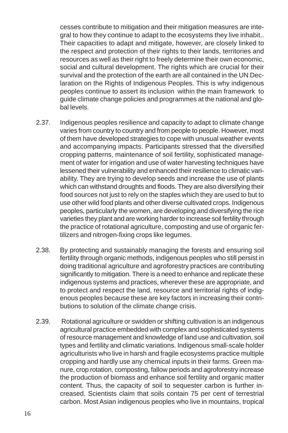cesses contribute to mitigation and their mitigation measures are integral to how they continue to adapt to the ecosystems they live inhabit.. Their capacities to adapt and mitigate, however, are closely linked to the respect and protection of their rights to their lands, territories and resources as well as their right to freely determine their own economic, social and cultural development. The rights which are crucial for their survival and the protection of the earth are all contained in the UN Declaration on the Rights of Indigenous Peoples. This is why indigenous peoples continue to assert its inclusion within the main framework to guide climate change policies and programmes at the national and global levels.

- 2.37. Indigenous peoples resilience and capacity to adapt to climate change varies from country to country and from people to people. However, most of them have developed strategies to cope with unusual weather events and accompanying impacts. Participants stressed that the diversified cropping patterns, maintenance of soil fertility, sophisticated management of water for irrigation and use of water harvesting techniques have lessened their vulnerability and enhanced their resilience to climatic variability. They are trying to develop seeds and increase the use of plants which can withstand droughts and floods. They are also diversifying their food sources not just to rely on the staples which they are used to but to use other wild food plants and other diverse cultivated crops. Indigenous peoples, particularly the women, are developing and diversifying the rice varieties they plant and are working harder to increase soil fertility through the practice of rotational agriculture, composting and use of organic fertilizers and nitrogen-fixing crops like legumes.
- 2.38. By protecting and sustainably managing the forests and ensuring soil fertility through organic methods, indigenous peoples who still persist in doing traditional agriculture and agroforestry practices are contributing significantly to mitigation. There is a need to enhance and replicate these indigenous systems and practices, wherever these are appropriate, and to protect and respect the land, resource and territorial rights of indigenous peoples because these are key factors in increasing their contributions to solution of the climate change crisis.
- 2.39. Rotational agriculture or swidden or shifting cultivation is an indigenous agricultural practice embedded with complex and sophisticated systems of resource management and knowledge of land use and cultivation, soil types and fertility and climatic variations. Indigenous small-scale holder agriculturists who live in harsh and fragile ecosystems practice multiple cropping and hardly use any chemical inputs in their farms. Green manure, crop rotation, composting, fallow periods and agroforestry increase the production of biomass and enhance soil fertility and organic matter content. Thus, the capacity of soil to sequester carbon is further increased. Scientists claim that soils contain 75 per cent of terrestrial carbon. Most Asian indigenous peoples who live in mountains, tropical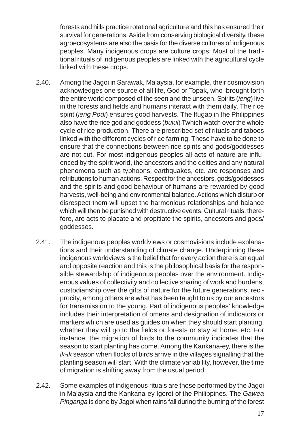forests and hills practice rotational agriculture and this has ensured their survival for generations. Aside from conserving biological diversity, these agroecosystems are also the basis for the diverse cultures of indigenous peoples. Many indigenous crops are culture crops. Most of the traditional rituals of indigenous peoples are linked with the agricultural cycle linked with these crops.

- 2.40. Among the Jagoi in Sarawak, Malaysia, for example, their cosmovision acknowledges one source of all life, God or Topak, who brought forth the entire world composed of the seen and the unseen. Spirits (*ieng*) live in the forests and fields and humans interact with them daily. The rice spirit (*ieng Podi*) ensures good harvests. The Ifugao in the Philippines also have the rice god and goddess (*bulul*) Twhich watch over the whole cycle of rice production. There are prescribed set of rituals and taboos linked with the different cycles of rice farming. These have to be done to ensure that the connections between rice spirits and gods/goddesses are not cut. For most indigenous peoples all acts of nature are influenced by the spirit world, the ancestors and the deities and any natural phenomena such as typhoons, earthquakes, etc. are responses and retributions to human actions. Respect for the ancestors, gods/goddesses and the spirits and good behaviour of humans are rewarded by good harvests, well-being and environmental balance. Actions which disturb or disrespect them will upset the harmonious relationships and balance which will then be punished with destructive events. Cultural rituals, therefore, are acts to placate and propitiate the spirits, ancestors and gods/ goddesses.
- 2.41. The indigenous peoples worldviews or cosmovisions include explanations and their understanding of climate change. Underpinning these indigenous worldviews is the belief that for every action there is an equal and opposite reaction and this is the philosophical basis for the responsible stewardship of indigenous peoples over the environment. Indigenous values of collectivity and collective sharing of work and burdens, custodianship over the gifts of nature for the future generations, reciprocity, among others are what has been taught to us by our ancestors for transmission to the young. Part of indigenous peoples' knowledge includes their interpretation of omens and designation of indicators or markers which are used as guides on when they should start planting, whether they will go to the fields or forests or stay at home, etc. For instance, the migration of birds to the community indicates that the season to start planting has come. Among the Kankana-ey, there is the *ik-ik* season when flocks of birds arrive in the villages signalling that the planting season will start. With the climate variability, however, the time of migration is shifting away from the usual period.
- 2.42. Some examples of indigenous rituals are those performed by the Jagoi in Malaysia and the Kankana-ey Igorot of the Philippines. The *Gawea Pinganga* is done by Jagoi when rains fall during the burning of the forest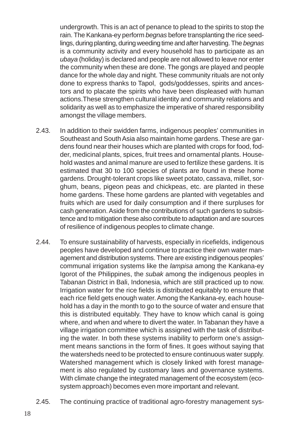undergrowth. This is an act of penance to plead to the spirits to stop the rain. The Kankana-ey perform *begnas* before transplanting the rice seedlings, during planting, during weeding time and after harvesting. The *begnas* is a community activity and every household has to participate as an *ubaya* (holiday) is declared and people are not allowed to leave nor enter the community when these are done. The gongs are played and people dance for the whole day and night. These community rituals are not only done to express thanks to Tapol, gods/goddesses, spirits and ancestors and to placate the spirits who have been displeased with human actions.These strengthen cultural identity and community relations and solidarity as well as to emphasize the imperative of shared responsibility amongst the village members.

- 2.43. In addition to their swidden farms, indigenous peoples' communities in Southeast and South Asia also maintain home gardens. These are gardens found near their houses which are planted with crops for food, fodder, medicinal plants, spices, fruit trees and ornamental plants. Household wastes and animal manure are used to fertilize these gardens. It is estimated that 30 to 100 species of plants are found in these home gardens. Drought-tolerant crops like sweet potato, cassava, millet, sorghum, beans, pigeon peas and chickpeas, etc. are planted in these home gardens. These home gardens are planted with vegetables and fruits which are used for daily consumption and if there surpluses for cash generation. Aside from the contributions of such gardens to subsistence and to mitigation these also contribute to adaptation and are sources of resilience of indigenous peoples to climate change.
- 2.44. To ensure sustainability of harvests, especially in ricefields, indigenous peoples have developed and continue to practice their own water management and distribution systems. There are existing indigenous peoples' communal irrigation systems like the *lampisa* among the Kankana-ey Igorot of the Philippines, the *subak* among the indigenous peoples in Tabanan District in Bali, Indonesia, which are still practiced up to now. Irrigation water for the rice fields is distributed equitably to ensure that each rice field gets enough water. Among the Kankana-ey, each household has a day in the month to go to the source of water and ensure that this is distributed equitably. They have to know which canal is going where, and when and where to divert the water. In Tabanan they have a village irrigation committee which is assigned with the task of distributing the water. In both these systems inability to perform one's assignment means sanctions in the form of fines. It goes without saying that the watersheds need to be protected to ensure continuous water supply. Watershed management which is closely linked with forest management is also regulated by customary laws and governance systems. With climate change the integrated management of the ecosystem (ecosystem approach) becomes even more important and relevant.
- 2.45. The continuing practice of traditional agro-forestry management sys-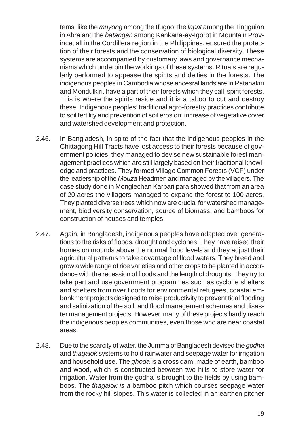tems, like the *muyong* among the Ifugao, the *lapat* among the Tingguian in Abra and the *batangan* among Kankana-ey-Igorot in Mountain Province, all in the Cordillera region in the Philippines, ensured the protection of their forests and the conservation of biological diversity. These systems are accompanied by customary laws and governance mechanisms which underpin the workings of these systems. Rituals are regularly performed to appease the spirits and deities in the forests. The indigenous peoples in Cambodia whose ancesral lands are in Ratanakiri and Mondulkiri, have a part of their forests which they call spirit forests. This is where the spirits reside and it is a taboo to cut and destroy these. Indigenous peoples' traditional agro-forestry practices contribute to soil fertility and prevention of soil erosion, increase of vegetative cover and watershed development and protection.

- 2.46. In Bangladesh, in spite of the fact that the indigenous peoples in the Chittagong Hill Tracts have lost access to their forests because of government policies, they managed to devise new sustainable forest management practices which are still largely based on their traditional knowledge and practices. They formed Village Common Forests (VCF) under the leadership of the *Mouza* Headmen and managed by the villagers. The case study done in Monglechan Karbari para showed that from an area of 20 acres the villagers managed to expand the forest to 100 acres. They planted diverse trees which now are crucial for watershed management, biodiversity conservation, source of biomass, and bamboos for construction of houses and temples.
- 2.47. Again, in Bangladesh, indigenous peoples have adapted over generations to the risks of floods, drought and cyclones. They have raised their homes on mounds above the normal flood levels and they adjust their agricultural patterns to take advantage of flood waters. They breed and grow a wide range of rice varieties and other crops to be planted in accordance with the recession of floods and the length of droughts. They try to take part and use government programmes such as cyclone shelters and shelters from river floods for environmental refugees, coastal embankment projects designed to raise productivity to prevent tidal flooding and salinization of the soil, and flood management schemes and disaster management projects. However, many of these projects hardly reach the indigenous peoples communities, even those who are near coastal areas.
- 2.48. Due to the scarcity of water, the Jumma of Bangladesh devised the *godha* and *thagalok* systems to hold rainwater and seepage water for irrigation and household use. The *ghoda* is a cross dam, made of earth, bamboo and wood, which is constructed between two hills to store water for irrigation. Water from the godha is brought to the fields by using bamboos. The *thagalok is a* bamboo pitch which courses seepage water from the rocky hill slopes. This water is collected in an earthen pitcher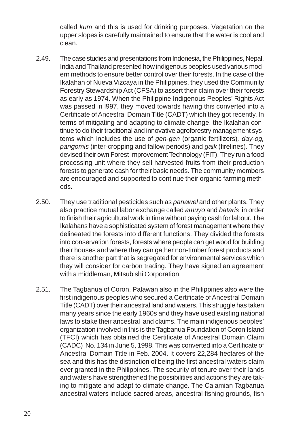called *kum* and this is used for drinking purposes. Vegetation on the upper slopes is carefully maintained to ensure that the water is cool and clean.

- 2.49. The case studies and presentations from Indonesia, the Philippines, Nepal, India and Thailand presented how indigenous peoples used various modern methods to ensure better control over their forests. In the case of the Ikalahan of Nueva Vizcaya in the Philippines, they used the Community Forestry Stewardship Act (CFSA) to assert their claim over their forests as early as 1974. When the Philippine Indigenous Peoples' Rights Act was passed in l997, they moved towards having this converted into a Certificate of Ancestral Domain Title (CADT) which they got recently. In terms of mitigating and adapting to climate change, the Ikalahan continue to do their traditional and innovative agroforestry management systems which includes the use of *gen-gen* (organic fertilizers)*, day-og, pangomis* (inter-cropping and fallow periods) and *gaik* (firelines). They devised their own Forest Improvement Technology (FIT). They run a food processing unit where they sell harvested fruits from their production forests to generate cash for their basic needs. The community members are encouraged and supported to continue their organic farming methods.
- 2.50. They use traditional pesticides such as *panawel* and other plants. They also practice mutual labor exchange called *amuyo* and *bataris* in order to finish their agricultural work in time without paying cash for labour. The Ikalahans have a sophisticated system of forest management where they delineated the forests into different functions. They divided the forests into conservation forests, forests where people can get wood for building their houses and where they can gather non-timber forest products and there is another part that is segregated for environmental services which they will consider for carbon trading. They have signed an agreement with a middleman, Mitsubishi Corporation.
- 2.51. The Tagbanua of Coron, Palawan also in the Philippines also were the first indigenous peoples who secured a Certificate of Ancestral Domain Title (CADT) over their ancestral land and waters. This struggle has taken many years since the early 1960s and they have used existing national laws to stake their ancestral land claims. The main indigenous peoples' organization involved in this is the Tagbanua Foundation of Coron Island (TFCI) which has obtained the Certificate of Ancestral Domain Claim (CADC) No. 134 in June 5, 1998. This was converted into a Certificate of Ancestral Domain Title in Feb. 2004. It covers 22,284 hectares of the sea and this has the distinction of being the first ancestral waters claim ever granted in the Philippines. The security of tenure over their lands and waters have strengthened the possibilities and actions they are taking to mitigate and adapt to climate change. The Calamian Tagbanua ancestral waters include sacred areas, ancestral fishing grounds, fish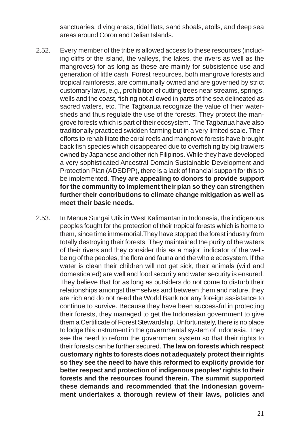sanctuaries, diving areas, tidal flats, sand shoals, atolls, and deep sea areas around Coron and Delian Islands.

- 2.52. Every member of the tribe is allowed access to these resources (including cliffs of the island, the valleys, the lakes, the rivers as well as the mangroves) for as long as these are mainly for subsistence use and generation of little cash. Forest resources, both mangrove forests and tropical rainforests, are communally owned and are governed by strict customary laws, e.g., prohibition of cutting trees near streams, springs, wells and the coast, fishing not allowed in parts of the sea delineated as sacred waters, etc. The Tagbanua recognize the value of their watersheds and thus regulate the use of the forests. They protect the mangrove forests which is part of their ecosystem. The Tagbanua have also traditionally practiced swidden farming but in a very limited scale. Their efforts to rehabilitate the coral reefs and mangrove forests have brought back fish species which disappeared due to overfishing by big trawlers owned by Japanese and other rich Filipinos. While they have developed a very sophisticated Ancestral Domain Sustainable Development and Protection Plan (ADSDPP), there is a lack of financial support for this to be implemented. **They are appealing to donors to provide support for the community to implement their plan so they can strengthen further their contributions to climate change mitigation as well as meet their basic needs.**
- 2.53. In Menua Sungai Utik in West Kalimantan in Indonesia, the indigenous peoples fought for the protection of their tropical forests which is home to them, since time immemorial.They have stopped the forest industry from totally destroying their forests. They maintained the purity of the waters of their rivers and they consider this as a major indicator of the wellbeing of the peoples, the flora and fauna and the whole ecosystem. If the water is clean their children will not get sick, their animals (wild and domesticated) are well and food security and water security is ensured. They believe that for as long as outsiders do not come to disturb their relationships amongst themselves and between them and nature, they are rich and do not need the World Bank nor any foreign assistance to continue to survive. Because they have been successful in protecting their forests, they managed to get the Indonesian government to give them a Certificate of Forest Stewardship. Unfortunately, there is no place to lodge this instrument in the governmental system of Indonesia. They see the need to reform the government system so that their rights to their forests can be further secured. **The law on forests which respect customary rights to forests does not adequately protect their rights so they see the need to have this reformed to explicity provide for better respect and protection of indigenous peoples' rights to their forests and the resources found therein. The summit supported these demands and recommended that the Indonesian government undertakes a thorough review of their laws, policies and**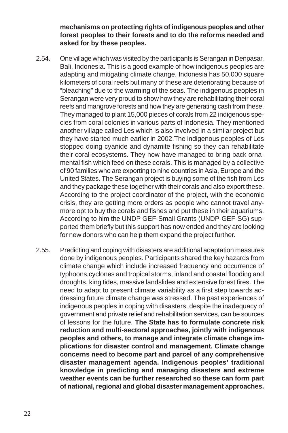**mechanisms on protecting rights of indigenous peoples and other forest peoples to their forests and to do the reforms needed and asked for by these peoples.**

- 2.54. One village which was visited by the participants is Serangan in Denpasar, Bali, Indonesia. This is a good example of how indigenous peoples are adapting and mitigating climate change. Indonesia has 50,000 square kilometers of coral reefs but many of these are deteriorating because of "bleaching" due to the warming of the seas. The indigenous peoples in Serangan were very proud to show how they are rehabilitating their coral reefs and mangrove forests and how they are generating cash from these. They managed to plant 15,000 pieces of corals from 22 indigenous species from coral colonies in various parts of Indonesia. They mentioned another village called Les which is also involved in a similar project but they have started much earlier in 2002.The indigenous peoples of Les stopped doing cyanide and dynamite fishing so they can rehabilitate their coral ecosystems. They now have managed to bring back ornamental fish which feed on these corals. This is managed by a collective of 90 families who are exporting to nine countries in Asia, Europe and the United States. The Serangan project is buying some of the fish from Les and they package these together with their corals and also export these. According to the project coordinator of the project, with the economic crisis, they are getting more orders as people who cannot travel anymore opt to buy the corals and fishes and put these in their aquariums. According to him the UNDP GEF-Small Grants (UNDP-GEF-SG) supported them briefly but this support has now ended and they are looking for new donors who can help them expand the project further.
- 2.55. Predicting and coping with disasters are additional adaptation measures done by indigenous peoples. Participants shared the key hazards from climate change which include increased frequency and occurrence of typhoons,cyclones and tropical storms, inland and coastal flooding and droughts, king tides, massive landslides and extensive forest fires. The need to adapt to present climate variability as a first step towards addressing future climate change was stressed. The past experiences of indigenous peoples in coping with disasters, despite the inadequacy of government and private relief and rehabilitation services, can be sources of lessons for the future. **The State has to formulate concrete risk reduction and multi-sectoral approaches, jointly with indigenous peoples and others, to manage and integrate climate change implications for disaster control and management. Climate change concerns need to become part and parcel of any comprehensive disaster management agenda. Indigenous peoples' traditional knowledge in predicting and managing disasters and extreme weather events can be further researched so these can form part of national, regional and global disaster management approaches.**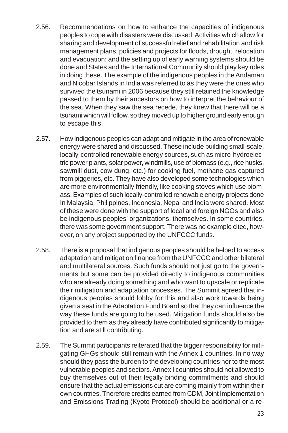- 2.56. Recommendations on how to enhance the capacities of indigenous peoples to cope with disasters were discussed. Activities which allow for sharing and development of successful relief and rehabilitation and risk management plans, policies and projects for floods, drought, relocation and evacuation; and the setting up of early warning systems should be done and States and the International Community should play key roles in doing these. The example of the indigenous peoples in the Andaman and Nicobar Islands in India was referred to as they were the ones who survived the tsunami in 2006 because they still retained the knowledge passed to them by their ancestors on how to interpret the behaviour of the sea. When they saw the sea recede, they knew that there will be a tsunami which will follow, so they moved up to higher ground early enough to escape this.
- 2.57. How indigenous peoples can adapt and mitigate in the area of renewable energy were shared and discussed. These include building small-scale, locally-controlled renewable energy sources, such as micro-hydroelectric power plants, solar power, windmills, use of biomass (e.g., rice husks, sawmill dust, cow dung, etc.) for cooking fuel, methane gas captured from piggeries, etc. They have also developed some technologies which are more environmentally friendly, like cooking stoves which use biomass. Examples of such locally-controlled renewable energy projects done In Malaysia, Philippines, Indonesia, Nepal and India were shared. Most of these were done with the support of local and foreign NGOs and also be indigenous peoples' organizations, themselves. In some countries, there was some government support. There was no example cited, however, on any project supported by the UNFCCC funds.
- 2.58. There is a proposal that indigenous peoples should be helped to access adaptation and mitigation finance from the UNFCCC and other bilateral and multilateral sources. Such funds should not just go to the governments but some can be provided directly to indigenous communities who are already doing something and who want to upscale or replicate their mitigation and adaptation processes. The Summit agreed that indigenous peoples should lobby for this and also work towards being given a seat in the Adaptation Fund Board so that they can influence the way these funds are going to be used. Mitigation funds should also be provided to them as they already have contributed significantly to mitigation and are still contributing.
- 2.59. The Summit participants reiterated that the bigger responsibility for mitigating GHGs should still remain with the Annex 1 countries. In no way should they pass the burden to the developing countries nor to the most vulnerable peoples and sectors. Annex I countries should not allowed to buy themselves out of their legally binding commitments and should ensure that the actual emissions cut are coming mainly from within their own countries. Therefore credits earned from CDM, Joint Implementation and Emissions Trading (Kyoto Protocol) should be additional or a re-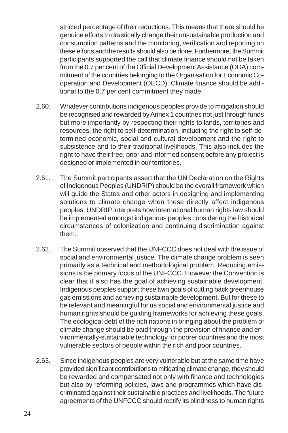stricted percentage of their reductions. This means that there should be genuine efforts to drastically change their unsustainable production and consumption patterns and the monitoring, verification and reporting on these efforts and the results should also be done. Furthermore, the Summit participants supported the call that climate finance should not be taken from the 0.7 per cent of the Official Development Assistance (ODA) commitment of the countries belonging to the Organisation for Economic Cooperation and Development (OECD). Climate finance should be additional to the 0.7 per cent commitment they made.

- 2.60. Whatever contributions indigenous peoples provide to mitigation should be recognised and rewarded by Annex 1 countries not just through funds but more importantly by respecting their rights to lands, territories and resources, the right to self-determination, including the right to self-determined economic, social and cultural development and the right to subsistence and to their traditional livelihoods. This also includes the right to have their free, prior and informed consent before any project is designed or implemented in our territories.
- 2.61. The Summit participants assert that the UN Declaration on the Rights of Indigenous Peoples (UNDRIP) should be the overall framework which will guide the States and other actors in designing and implementing solutions to climate change when these directly affect indigenous peoples. UNDRIP interprets how international human rights law should be implemented amongst indigenous peoples considering the historical circumstances of colonization and continuing discrimination against them.
- 2.62. The Summit observed that the UNFCCC does not deal with the issue of social and environmental justice. The climate change problem is seen primarily as a technical and methodological problem. Reducing emissions is the primary focus of the UNFCCC. However the Convention is clear that it also has the goal of achieving sustainable development. Indigenous peoples support these twin goals of cutting back greenhouse gas emissions and achieving sustainable development. But for these to be relevant and meaningful for us social and environmental justice and human rights should be guiding frameworks for achieving these goals. The ecological debt of the rich nations in bringing about the problem of climate change should be paid through the provision of finance and environmentally-sustainable technology for poorer countries and the most vulnerable sectors of people within the rich and poor countries.
- 2.63. Since indigenous peoples are very vulnerable but at the same time have provided significant contributions to mitigating climate change, they should be rewarded and compensated not only with finance and technologies but also by reforming policies, laws and programmes which have discriminated against their sustainable practices and livelihoods. The future agreements of the UNFCCC should rectify its blindness to human rights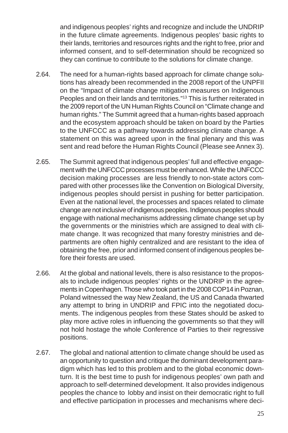and indigenous peoples' rights and recognize and include the UNDRIP in the future climate agreements. Indigenous peoples' basic rights to their lands, territories and resources rights and the right to free, prior and informed consent, and to self-determination should be recognized so they can continue to contribute to the solutions for climate change.

- 2.64. The need for a human-rights based approach for climate change solutions has already been recommended in the 2008 report of the UNPFII on the "Impact of climate change mitigation measures on Indigenous Peoples and on their lands and territories."<sup>13</sup> This is further reiterated in the 2009 report of the UN Human Rights Council on "Climate change and human rights." The Summit agreed that a human-rights based approach and the ecosystem approach should be taken on board by the Parties to the UNFCCC as a pathway towards addressing climate change. A statement on this was agreed upon in the final plenary and this was sent and read before the Human Rights Council (Please see Annex 3).
- 2.65. The Summit agreed that indigenous peoples' full and effective engagement with the UNFCCC processes must be enhanced. While the UNFCCC decision making processes are less friendly to non-state actors compared with other processes like the Convention on Biological Diversity, indigenous peoples should persist in pushing for better participation. Even at the national level, the processes and spaces related to climate change are not inclusive of indigenous peoples. Indigenous peoples should engage with national mechanisms addressing climate change set up by the governments or the ministries which are assigned to deal with climate change. It was recognized that many forestry ministries and departments are often highly centralized and are resistant to the idea of obtaining the free, prior and informed consent of indigenous peoples before their forests are used.
- 2.66. At the global and national levels, there is also resistance to the proposals to include indigenous peoples' rights or the UNDRIP in the agreements in Copenhagen. Those who took part in the 2008 COP14 in Poznan, Poland witnessed the way New Zealand, the US and Canada thwarted any attempt to bring in UNDRIP and FPIC into the negotiated documents. The indigenous peoples from these States should be asked to play more active roles in influencing the governments so that they will not hold hostage the whole Conference of Parties to their regressive positions.
- 2.67. The global and national attention to climate change should be used as an opportunity to question and critique the dominant development paradigm which has led to this problem and to the global economic downturn. It is the best time to push for indigenous peoples' own path and approach to self-determined development. It also provides indigenous peoples the chance to lobby and insist on their democratic right to full and effective participation in processes and mechanisms where deci-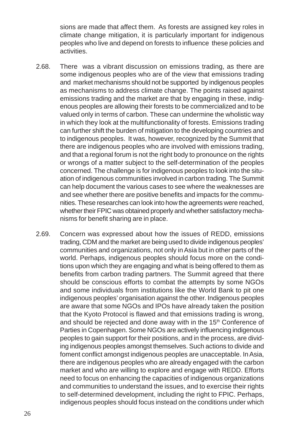sions are made that affect them. As forests are assigned key roles in climate change mitigation, it is particularly important for indigenous peoples who live and depend on forests to influence these policies and activities.

- 2.68. There was a vibrant discussion on emissions trading, as there are some indigenous peoples who are of the view that emissions trading and market mechanisms should not be supported by indigenous peoples as mechanisms to address climate change. The points raised against emissions trading and the market are that by engaging in these, indigenous peoples are allowing their forests to be commercialized and to be valued only in terms of carbon. These can undermine the wholistic way in which they look at the multifunctionality of forests. Emissions trading can further shift the burden of mitigation to the developing countries and to indigenous peoples. It was, however, recognized by the Summit that there are indigenous peoples who are involved with emissions trading, and that a regional forum is not the right body to pronounce on the rights or wrongs of a matter subject to the self-determination of the peoples concerned. The challenge is for indigenous peoples to look into the situation of indigenous communities involved in carbon trading. The Summit can help document the various cases to see where the weaknesses are and see whether there are positive benefits and impacts for the communities. These researches can look into how the agreements were reached, whether their FPIC was obtained properly and whether satisfactory mechanisms for benefit sharing are in place.
- 2.69. Concern was expressed about how the issues of REDD, emissions trading, CDM and the market are being used to divide indigenous peoples' communities and organizations, not only in Asia but in other parts of the world. Perhaps, indigenous peoples should focus more on the conditions upon which they are engaging and what is being offered to them as benefits from carbon trading partners. The Summit agreed that there should be conscious efforts to combat the attempts by some NGOs and some individuals from institutions like the World Bank to pit one indigenous peoples' organisation against the other. Indigenous peoples are aware that some NGOs and IPOs have already taken the position that the Kyoto Protocol is flawed and that emissions trading is wrong, and should be rejected and done away with in the 15<sup>th</sup> Conference of Parties in Copenhagen. Some NGOs are actively influencing indigenous peoples to gain support for their positions, and in the process, are dividing indigenous peoples amongst themselves. Such actions to divide and foment conflict amongst indigenous peoples are unacceptable. In Asia, there are indigenous peoples who are already engaged with the carbon market and who are willing to explore and engage with REDD. Efforts need to focus on enhancing the capacities of indigenous organizations and communities to understand the issues, and to exercise their rights to self-determined development, including the right to FPIC. Perhaps, indigenous peoples should focus instead on the conditions under which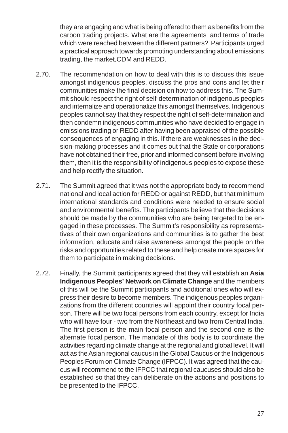they are engaging and what is being offered to them as benefits from the carbon trading projects. What are the agreements and terms of trade which were reached between the different partners? Participants urged a practical approach towards promoting understanding about emissions trading, the market,CDM and REDD.

- 2.70. The recommendation on how to deal with this is to discuss this issue amongst indigenous peoples, discuss the pros and cons and let their communities make the final decision on how to address this. The Summit should respect the right of self-determination of indigenous peoples and internalize and operationalize this amongst themselves. Indigenous peoples cannot say that they respect the right of self-determination and then condemn indigenous communities who have decided to engage in emissions trading or REDD after having been appraised of the possible consequences of engaging in this. If there are weaknesses in the decision-making processes and it comes out that the State or corporations have not obtained their free, prior and informed consent before involving them, then it is the responsibility of indigenous peoples to expose these and help rectify the situation.
- 2.71. The Summit agreed that it was not the appropriate body to recommend national and local action for REDD or against REDD, but that minimum international standards and conditions were needed to ensure social and environmental benefits. The participants believe that the decisions should be made by the communities who are being targeted to be engaged in these processes. The Summit's responsibility as representatives of their own organizations and communities is to gather the best information, educate and raise awareness amongst the people on the risks and opportunities related to these and help create more spaces for them to participate in making decisions.
- 2.72. Finally, the Summit participants agreed that they will establish an **Asia Indigenous Peoples' Network on Climate Change** and the members of this will be the Summit participants and additional ones who will express their desire to become members. The indigenous peoples organizations from the different countries will appoint their country focal person. There will be two focal persons from each country, except for India who will have four - two from the Northeast and two from Central India. The first person is the main focal person and the second one is the alternate focal person. The mandate of this body is to coordinate the activities regarding climate change at the regional and global level. It will act as the Asian regional caucus in the Global Caucus or the Indigenous Peoples Forum on Climate Change (IFPCC). It was agreed that the caucus will recommend to the IFPCC that regional caucuses should also be established so that they can deliberate on the actions and positions to be presented to the IFPCC.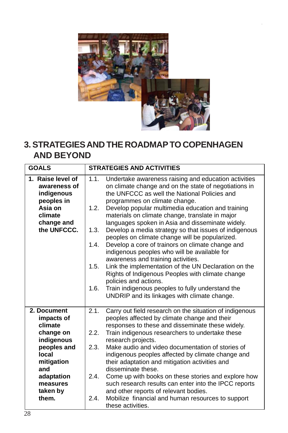

# **3. STRATEGIES AND THE ROADMAP TO COPENHAGEN AND BEYOND**

| <b>GOALS</b>                                                                                                                                                | <b>STRATEGIES AND ACTIVITIES</b>                                                                                                                                                                                                                                                                                                                                                                                                                                                                                                                                                                                                                                                                                                                                                                                                                                                                         |
|-------------------------------------------------------------------------------------------------------------------------------------------------------------|----------------------------------------------------------------------------------------------------------------------------------------------------------------------------------------------------------------------------------------------------------------------------------------------------------------------------------------------------------------------------------------------------------------------------------------------------------------------------------------------------------------------------------------------------------------------------------------------------------------------------------------------------------------------------------------------------------------------------------------------------------------------------------------------------------------------------------------------------------------------------------------------------------|
| 1. Raise level of<br>awareness of<br>indigenous<br>peoples in<br>Asia on<br>climate<br>change and<br>the UNFCCC.                                            | 1.1.<br>Undertake awareness raising and education activities<br>on climate change and on the state of negotiations in<br>the UNFCCC as well the National Policies and<br>programmes on climate change.<br>Develop popular multimedia education and training<br>1.2.<br>materials on climate change, translate in major<br>languages spoken in Asia and disseminate widely.<br>Develop a media strategy so that issues of indigenous<br>1.3.<br>peoples on climate change will be popularized.<br>Develop a core of trainors on climate change and<br>1.4.<br>indigenous peoples who will be available for<br>awareness and training activities.<br>Link the implementation of the UN Declaration on the<br>1.5.<br>Rights of Indigenous Peoples with climate change<br>policies and actions.<br>1.6.<br>Train indigenous peoples to fully understand the<br>UNDRIP and its linkages with climate change. |
| 2. Document<br>impacts of<br>climate<br>change on<br>indigenous<br>peoples and<br>local<br>mitigation<br>and<br>adaptation<br>measures<br>taken by<br>them. | Carry out field research on the situation of indigenous<br>2.1.<br>peoples affected by climate change and their<br>responses to these and disseminate these widely.<br>Train indigenous researchers to undertake these<br>2.2.<br>research projects.<br>Make audio and video documentation of stories of<br>2.3.<br>indigenous peoples affected by climate change and<br>their adaptation and mitigation activities and<br>disseminate these.<br>2.4.<br>Come up with books on these stories and explore how<br>such research results can enter into the IPCC reports<br>and other reports of relevant bodies.<br>Mobilize financial and human resources to support<br>2.4.<br>these activities.                                                                                                                                                                                                         |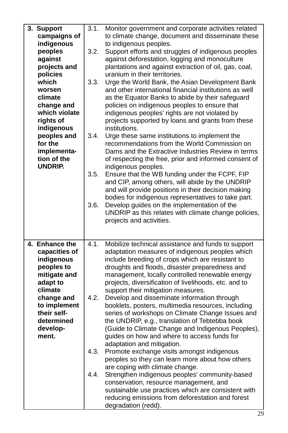| 3. Support<br>campaigns of<br>indigenous<br>peoples<br>against<br>projects and<br>policies<br>which<br>worsen<br>climate<br>change and<br>which violate<br>rights of<br>indigenous<br>peoples and<br>for the<br>implementa-<br>tion of the<br><b>UNDRIP.</b> | 3.1.<br>3.2.<br>3.3.<br>3.4.<br>3.5.<br>3.6. | Monitor government and corporate activities related<br>to climate change, document and disseminate these<br>to indigenous peoples.<br>Support efforts and struggles of indigenous peoples<br>against deforestation, logging and monoculture<br>plantations and against extraction of oil, gas, coal,<br>uranium in their territories.<br>Urge the World Bank, the Asian Development Bank<br>and other international financial institutions as well<br>as the Equator Banks to abide by their safeguard<br>policies on indigenous peoples to ensure that<br>indigenous peoples' rights are not violated by<br>projects supported by loans and grants from these<br>institutions.<br>Urge these same institutions to implement the<br>recommendations from the World Commission on<br>Dams and the Extractive Industries Review in terms<br>of respecting the free, prior and informed consent of<br>indigenous peoples.<br>Ensure that the WB funding under the FCPF, FIP<br>and CIP, among others, will abide by the UNDRIP<br>and will provide positions in their decision making<br>bodies for indigenous representatives to take part.<br>Develop guides on the implementation of the<br>UNDRIP as this relates with climate change policies,<br>projects and activities. |
|--------------------------------------------------------------------------------------------------------------------------------------------------------------------------------------------------------------------------------------------------------------|----------------------------------------------|------------------------------------------------------------------------------------------------------------------------------------------------------------------------------------------------------------------------------------------------------------------------------------------------------------------------------------------------------------------------------------------------------------------------------------------------------------------------------------------------------------------------------------------------------------------------------------------------------------------------------------------------------------------------------------------------------------------------------------------------------------------------------------------------------------------------------------------------------------------------------------------------------------------------------------------------------------------------------------------------------------------------------------------------------------------------------------------------------------------------------------------------------------------------------------------------------------------------------------------------------------------------------|
| 4. Enhance the<br>capacities of<br>indigenous<br>peoples to<br>mitigate and<br>adapt to<br>climate<br>change and<br>to implement<br>their self-<br>determined<br>develop-<br>ment.                                                                           | 4.1.<br>4.2.<br>4.3.<br>4.4.                 | Mobilize technical assistance and funds to support<br>adaptation measures of indigenous peoples which<br>include breeding of crops which are resistant to<br>droughts and floods, disaster preparedness and<br>management, locally controlled renewable energy<br>projects, diversification of livelihoods, etc. and to<br>support their mitigation measures.<br>Develop and disseminate information through<br>booklets, posters, multimedia resources, including<br>series of workshops on Climate Change Issues and<br>the UNDRIP, e.g., translation of Tebtebba book<br>(Guide to Climate Change and Indigenous Peoples),<br>guides on how and where to access funds for<br>adaptation and mitigation.<br>Promote exchange visits amongst indigenous<br>peoples so they can learn more about how others<br>are coping with climate change.<br>Strengthen indigenous peoples' community-based<br>conservation, resource management, and<br>sustainable use practices which are consistent with<br>reducing emissions from deforestation and forest<br>degradation (redd).                                                                                                                                                                                                 |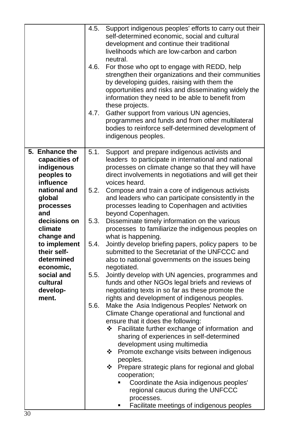|                                                                                                                                                                                                                                                                          | self-determined economic, social and cultural<br>development and continue their traditional<br>livelihoods which are low-carbon and carbon<br>neutral.<br>4.6.<br>For those who opt to engage with REDD, help<br>strengthen their organizations and their communities<br>by developing guides, raising with them the<br>opportunities and risks and disseminating widely the<br>information they need to be able to benefit from<br>these projects.<br>4.7.<br>Gather support from various UN agencies,<br>programmes and funds and from other multilateral<br>bodies to reinforce self-determined development of<br>indigenous peoples.                                                                                                                                                                                                                                                                                                                                                                                                                                                                                                                                                                                                                                                                                                                                                                                                                                                                             |
|--------------------------------------------------------------------------------------------------------------------------------------------------------------------------------------------------------------------------------------------------------------------------|----------------------------------------------------------------------------------------------------------------------------------------------------------------------------------------------------------------------------------------------------------------------------------------------------------------------------------------------------------------------------------------------------------------------------------------------------------------------------------------------------------------------------------------------------------------------------------------------------------------------------------------------------------------------------------------------------------------------------------------------------------------------------------------------------------------------------------------------------------------------------------------------------------------------------------------------------------------------------------------------------------------------------------------------------------------------------------------------------------------------------------------------------------------------------------------------------------------------------------------------------------------------------------------------------------------------------------------------------------------------------------------------------------------------------------------------------------------------------------------------------------------------|
| 5. Enhance the<br>capacities of<br>indigenous<br>peoples to<br>influence<br>national and<br>global<br>processes<br>and<br>decisions on<br>climate<br>change and<br>to implement<br>their self-<br>determined<br>economic,<br>social and<br>cultural<br>develop-<br>ment. | 5.1.<br>Support and prepare indigenous activists and<br>leaders to participate in international and national<br>processes on climate change so that they will have<br>direct involvements in negotiations and will get their<br>voices heard.<br>5.2.<br>Compose and train a core of indigenous activists<br>and leaders who can participate consistently in the<br>processes leading to Copenhagen and activities<br>beyond Copenhagen.<br>5.3.<br>Disseminate timely information on the various<br>processes to familiarize the indigenous peoples on<br>what is happening.<br>5.4.<br>Jointly develop briefing papers, policy papers to be<br>submitted to the Secretariat of the UNFCCC and<br>also to national governments on the issues being<br>negotiated.<br>5.5.<br>Jointly develop with UN agencies, programmes and<br>funds and other NGOs legal briefs and reviews of<br>negotiating texts in so far as these promote the<br>rights and development of indigenous peoples.<br>5.6.<br>Make the Asia Indigenous Peoples' Network on<br>Climate Change operational and functional and<br>ensure that it does the following:<br>Facilitate further exchange of information and<br>❖<br>sharing of experiences in self-determined<br>development using multimedia<br>Promote exchange visits between indigenous<br>❖<br>peoples.<br>Prepare strategic plans for regional and global<br>❖<br>cooperation;<br>Coordinate the Asia indigenous peoples'<br>٠<br>regional caucus during the UNFCCC<br>processes. |
|                                                                                                                                                                                                                                                                          | Facilitate meetings of indigenous peoples<br>٠                                                                                                                                                                                                                                                                                                                                                                                                                                                                                                                                                                                                                                                                                                                                                                                                                                                                                                                                                                                                                                                                                                                                                                                                                                                                                                                                                                                                                                                                       |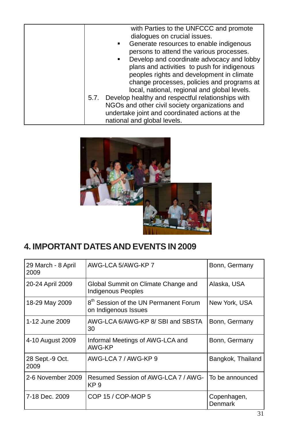

# **4. IMPORTANT DATES AND EVENTS IN 2009**

| 29 March - 8 April<br>2009                                                    | AWG-LCA 5/AWG-KP 7                                                        | Bonn, Germany                 |
|-------------------------------------------------------------------------------|---------------------------------------------------------------------------|-------------------------------|
| 20-24 April 2009<br>Global Summit on Climate Change and<br>Indigenous Peoples |                                                                           | Alaska, USA                   |
| 18-29 May 2009                                                                | 8 <sup>th</sup> Session of the UN Permanent Forum<br>on Indigenous Issues | New York, USA                 |
| 1-12 June 2009                                                                | AWG-LCA 6/AWG-KP 8/ SBI and SBSTA<br>30                                   | Bonn, Germany                 |
| 4-10 August 2009                                                              | Informal Meetings of AWG-LCA and<br>AWG-KP                                | Bonn, Germany                 |
| 28 Sept.-9 Oct.<br>2009                                                       | AWG-LCA 7 / AWG-KP 9                                                      | Bangkok, Thailand             |
| 2-6 November 2009                                                             | Resumed Session of AWG-LCA 7 / AWG-<br>KP <sub>9</sub>                    | To be announced               |
| 7-18 Dec. 2009                                                                | COP 15 / COP-MOP 5                                                        | Copenhagen,<br><b>Denmark</b> |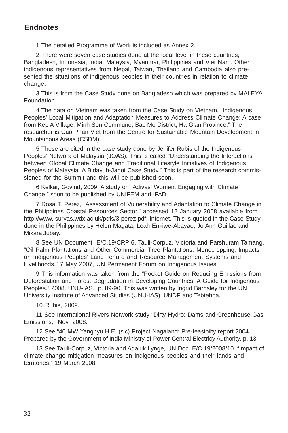#### **Endnotes**

1 The detailed Programme of Work is included as Annex 2.

2 There were seven case studies done at the local level in these countries; Bangladesh, Indonesia, India, Malaysia, Myanmar, Philippines and Viet Nam. Other indigenous representatives from Nepal, Taiwan, Thailand and Cambodia also presented the situations of indigenous peoples in their countries in relation to climate change.

3 This is from the Case Study done on Bangladesh which was prepared by MALEYA Foundation.

4 The data on Vietnam was taken from the Case Study on Vietnam. "Indigenous Peoples' Local Mitigation and Adaptation Measures to Address Climate Change: A case from Kep A Village, Minh Son Commune, Bac Me District, Ha Gian Province." The researcher is Cao Phan Viet from the Centre for Sustainable Mountain Development in Mountainous Areas (CSDM).

5 These are cited in the case study done by Jenifer Rubis of the Indigenous Peoples' Network of Malaysia (JOAS). This is called "Understanding the Interactions between Global Climate Change and Traditional Lifestyle Initiatives of Indigenous Peoples of Malaysia: A Bidayuh-Jagoi Case Study." This is part of the research commissioned for the Summit and this will be published soon.

6 Kelkar, Govind, 2009. A study on "Adivasi Women: Engaging with Climate Change," soon to be published by UNIFEM and IFAD.

7 Rosa T. Perez, "Assessment of Vulnerability and Adaptation to Climate Change in the Philippines Coastal Resources Sector." accessed 12 January 2008 available from http://www. survas.wdx.ac.uk/pdfs/3 perez.pdf: Internet. This is quoted in the Case Study done in the Philippines by Helen Magata, Leah Enkiwe-Abayao, Jo Ann Guillao and Mikara Jubay.

8 See UN Document E/C.19/CRP 6. Tauli-Corpuz, Victoria and Parshuram Tamang, "Oil Palm Plantations and Other Commercial Tree Plantations, Monocropping: Impacts on Indigenous Peoples' Land Tenure and Resource Management Systems and Livelihoods." 7 May 2007, UN Permanent Forum on Indigenous Issues.

9 This information was taken from the "Pocket Guide on Reducing Emissions from Deforestation and Forest Degradation in Developing Countries: A Guide for Indigenous Peoples." 2008. UNU-IAS. p. 89-90. This was written by Ingrid Barnsley for the UN University Institute of Advanced Studies (UNU-IAS), UNDP and Tebtebba.

10 Rubis, 2009.

11 See International Rivers Network study "Dirty Hydro: Dams and Greenhouse Gas Emissions," Nov. 2008.

12 See "40 MW Yangnyu H.E. (sic) Project Nagaland: Pre-feasibilty report 2004." Prepared by the Government of India Ministry of Power Central Electricy Authority. p. 13.

13 See Tauli-Corpuz, Victoria and Aqaluk Lynge, UN Doc. E/C.19/2008/10. "Impact of climate change mitigation measures on indigenous peoples and their lands and territories." 19 March 2008.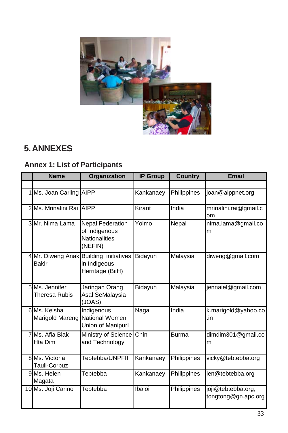

# **5. ANNEXES**

# **Annex 1: List of Participants**

|   | <b>Name</b>                     | Organization                                                                | <b>IP Group</b> | <b>Country</b> | Email                                     |
|---|---------------------------------|-----------------------------------------------------------------------------|-----------------|----------------|-------------------------------------------|
|   |                                 |                                                                             |                 |                |                                           |
|   | 1 Ms. Joan Carling AIPP         |                                                                             | Kankanaey       | Philippines    | joan@aippnet.org                          |
|   | 2 Ms. Mrinalini Rai AIPP        |                                                                             | Kirant          | India          | mrinalini.rai@gmail.c<br>om               |
|   | 3 Mr. Nima Lama                 | <b>Nepal Federation</b><br>of Indigenous<br><b>Nationalities</b><br>(NEFIN) | Yolmo           | Nepal          | nima.lama@gmail.co<br>m                   |
|   | <b>Bakir</b>                    | 4 Mr. Diweng Anak Building initiatives<br>in Indigeous<br>Herritage (BiiH)  | Bidayuh         | Malaysia       | diweng@gmail.com                          |
|   | 5 Ms. Jennifer<br>Theresa Rubis | Jaringan Orang<br>Asal SeMalaysia<br>(JOAS)                                 | Bidayuh         | Malaysia       | jennaiel@gmail.com                        |
|   | 6 Ms. Keisha<br>Marigold Mareng | Indigenous<br>National Women<br>Union of Manipurl                           | Naga            | India          | k.marigold@yahoo.co<br>.in                |
| 7 | Ms. Afia Biak<br>Hta Dim        | Ministry of Science<br>and Technology                                       | Chin            | <b>Burma</b>   | dimdim301@gmail.co<br>m                   |
|   | 8 Ms. Victoria<br>Tauli-Corpuz  | Tebtebba/UNPFII                                                             | Kankanaev       | Philippines    | vicky@tebtebba.org                        |
|   | 9 Ms. Helen<br>Magata           | Tebtebba                                                                    | Kankanaey       | Philippines    | len@tebtebba.org                          |
|   | 10 Ms. Joji Carino              | Tebtebba                                                                    | Ibaloi          | Philippines    | joji@tebtebba.org,<br>tongtong@gn.apc.org |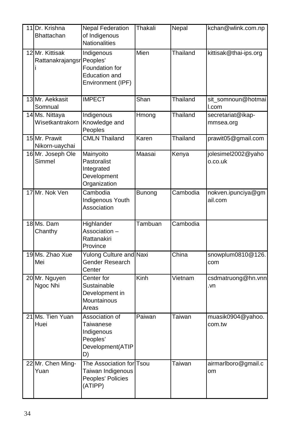| 11 Dr. Krishna<br>Bhattachan                 | <b>Nepal Federation</b><br>of Indigenous<br><b>Nationalities</b>                | Thakali | Nepal    | kchan@wlink.com.np             |
|----------------------------------------------|---------------------------------------------------------------------------------|---------|----------|--------------------------------|
| 12 Mr. Kittisak<br>Rattanakrajangsr Peoples' | Indigenous<br>Foundation for<br>Education and<br>Environment (IPF)              | Mien    | Thailand | kittisak@thai-ips.org          |
| 13 Mr. Aekkasit<br>Somnual                   | <b>IMPECT</b>                                                                   | Shan    | Thailand | sit somnoun@hotmai<br>l.com    |
| 14 Ms. Nittaya<br>Wisetkantrakorn            | Indigenous<br>Knowledge and<br>Peoples                                          | Hmong   | Thailand | secretariat@ikap-<br>mmsea.org |
| 15 Mr. Prawit<br>Nikorn-uaychai              | <b>CMLN Thailand</b>                                                            | Karen   | Thailand | prawit05@gmail.com             |
| 16 Mr. Joseph Ole<br>Simmel                  | Mainyoito<br>Pastoralist<br>Integrated<br>Development<br>Organization           | Maasai  | Kenya    | jolesimel2002@yaho<br>o.co.uk  |
| 17 Mr. Nok Ven                               | Cambodia<br><b>Indigenous Youth</b><br>Association                              | Bunong  | Cambodia | nokven.ipunciya@gm<br>ail.com  |
| 18 Ms. Dam<br>Chanthy                        | Highlander<br>Association -<br>Rattanakiri<br>Province                          | Tambuan | Cambodia |                                |
| 19 Ms. Zhao Xue<br>Mei                       | Yulong Culture and Naxi<br>Gender Research<br>Center                            |         | China    | snowplum0810@126.<br>com       |
| 20 Mr. Nguyen<br>Ngoc Nhi                    | Center for<br>Sustainable<br>Development in<br>Mountainous<br>Areas             | Kinh    | Vietnam  | csdmatruong@hn.vnn<br>.vn      |
| 21 Ms. Tien Yuan<br>Huei                     | Association of<br>Taiwanese<br>Indigenous<br>Peoples'<br>Development(ATIP<br>D) | Paiwan  | Taiwan   | muasik0904@yahoo.<br>com.tw    |
| 22 Mr. Chen Ming-<br>Yuan                    | The Association for Tsou<br>Taiwan Indigenous<br>Peoples' Policies<br>(ATIPP)   |         | Taiwan   | airmarlboro@gmail.c<br>om      |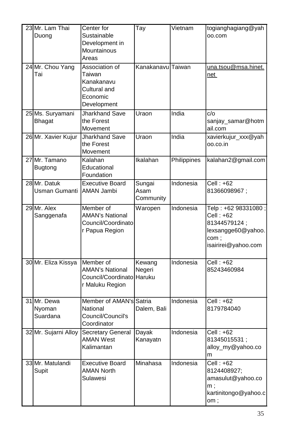| 23 Mr. Lam Thai<br>Duong          | Center for<br>Sustainable<br>Development in<br>Mountainous<br>Areas               | _<br>Тау                     | Vietnam     | togianghagiang@yah<br>oo.com                                                                            |
|-----------------------------------|-----------------------------------------------------------------------------------|------------------------------|-------------|---------------------------------------------------------------------------------------------------------|
| 24 Mr. Chou Yang<br>Tai           | Association of<br>Taiwan<br>Kanakanavu<br>Cultural and<br>Economic<br>Development | Kanakanavu Taiwan            |             | una.tsou@msa.hinet.<br>net                                                                              |
| 25 Ms. Suryamani<br><b>Bhagat</b> | <b>Jharkhand Save</b><br>the Forest<br>Movement                                   | Uraon                        | India       | c/o<br>sanjay_samar@hotm<br>ail.com                                                                     |
| 26 Mr. Xavier Kujur               | <b>Jharkhand Save</b><br>the Forest<br>Movement                                   | Uraon                        | India       | xavierkujur_xxx@yah<br>oo.co.in                                                                         |
| 27 Mr. Tamano<br><b>Bugtong</b>   | Kalahan<br>Educational<br>Foundation                                              | Ikalahan                     | Philippines | kalahan2@gmail.com                                                                                      |
| 28 Mr. Datuk<br>Usman Gumanti     | <b>Executive Board</b><br><b>AMAN Jambi</b>                                       | Sungai<br>Asam<br>Community  | Indonesia   | Cell : +62<br>81366098967;                                                                              |
| 29 Mr. Alex<br>Sanggenafa         | Member of<br><b>AMAN's National</b><br>Council/Coordinato<br>r Papua Region       | $\overline{\text{W}}$ aropen | Indonesia   | Telp: +62 98331080;<br>Cell : +62<br>81344579124;<br>lexsangge60@yahoo.<br>com :<br>isairirei@yahoo.com |
| 30 Mr. Eliza Kissya               | Member of<br><b>AMAN's National</b><br>Council/Coordinato<br>r Maluku Region      | Kewang<br>Negeri<br>Haruku   | Indonesia   | Cell: $+62$<br>85243460984                                                                              |
| 31 Mr. Dewa<br>Nyoman<br>Suardana | Member of AMAN's<br>National<br>Council/Council's<br>Coordinator                  | Satria<br>Dalem, Bali        | Indonesia   | $Cell: +62$<br>8179784040                                                                               |
| 32 Mr. Sujarni Alloy              | Secretary General<br><b>AMAN West</b><br>Kalimantan                               | Dayak<br>Kanayatn            | Indonesia   | Cell : +62<br>81345015531;<br>alloy_my@yahoo.co<br>m                                                    |
| 33 Mr. Matulandi<br>Supit         | <b>Executive Board</b><br><b>AMAN North</b><br>Sulawesi                           | Minahasa                     | Indonesia   | Cell: +62<br>8124408927;<br>amasulut@yahoo.co<br>$m$ ;<br>kartinitongo@yahoo.c<br>om ;                  |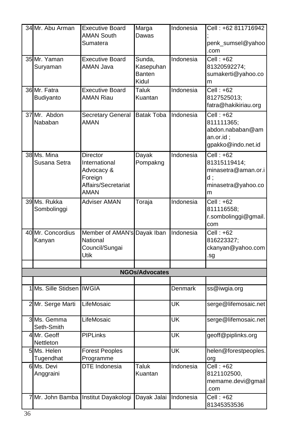|   | 34 Mr. Abu Arman            | <b>Executive Board</b><br><b>AMAN South</b><br>Sumatera                                  | Marga<br>Dawas                                | Indonesia | Cell: +62 811716942<br>penk_sumsel@yahoo<br>.com                                  |
|---|-----------------------------|------------------------------------------------------------------------------------------|-----------------------------------------------|-----------|-----------------------------------------------------------------------------------|
|   | 35 Mr. Yaman<br>Suryaman    | <b>Executive Board</b><br>AMAN Java                                                      | Sunda,<br>Kasepuhan<br><b>Banten</b><br>Kidul | Indonesia | $Cell: +62$<br>81320592274;<br>sumakerti@yahoo.co<br>m                            |
|   | 36 Mr. Fatra<br>Budiyanto   | <b>Executive Board</b><br><b>AMAN Riau</b>                                               | Taluk<br>Kuantan                              | Indonesia | $Cell: +62$<br>8127525013;<br>fatra@hakikiriau.org                                |
|   | 37 Mr. Abdon<br>Nababan     | Secretary General Batak Toba<br><b>AMAN</b>                                              |                                               | Indonesia | $Cell: +62$<br>811111365;<br>abdon.nababan@am<br>an.or.id;<br>gpakko@indo.net.id  |
|   | 38 Ms. Mina<br>Susana Setra | Director<br>International<br>Advocacy &<br>Foreign<br>Affairs/Secretariat<br><b>AMAN</b> | Dayak<br>Pompakng                             | Indonesia | Cell: +62<br>81315119414;<br>minasetra@aman.or.i<br>d:<br>minasetra@yahoo.co<br>m |
|   | 39 Ms. Rukka<br>Sombolinggi | <b>Adviser AMAN</b>                                                                      | Toraja                                        | Indonesia | $Cell: +62$<br>811116558;<br>r.sombolinggi@gmail.<br>com                          |
|   | 40 Mr. Concordius<br>Kanyan | Member of AMAN's Dayak Iban<br>National<br>Council/Sungai<br>Utik                        |                                               | Indonesia | Cell: $+62$<br>816223327;<br>ckanyan@yahoo.com<br>.sg                             |
|   |                             |                                                                                          |                                               |           |                                                                                   |
|   |                             |                                                                                          | <b>NGOs/Advocates</b>                         |           |                                                                                   |
| 1 | Ms. Sille Stidsen IWGIA     |                                                                                          |                                               | Denmark   | ss@iwgia.org                                                                      |
|   | 2 Mr. Serge Marti           | LifeMosaic                                                                               |                                               | ŪK        | serge@lifemosaic.net                                                              |
|   | 3 Ms. Gemma<br>Seth-Smith   | LifeMosaic                                                                               |                                               | UK        | serge@lifemosaic.net                                                              |
|   | 4 Mr. Geoff<br>Nettleton    | <b>PIPLinks</b>                                                                          |                                               | UK        | geoff@piplinks.org                                                                |
|   | 5 Ms. Helen<br>Tugendhat    | <b>Forest Peoples</b><br>Programme                                                       |                                               | UK        | helen@forestpeoples.<br>org                                                       |
|   | 6 Ms. Devi<br>Anggraini     | DTE Indonesia                                                                            | Taluk<br>Kuantan                              | Indonesia | $Cell: +62$<br>8121102500,<br>memame.devi@gmail<br>.com                           |
| 7 | Mr. John Bamba              | Institut Dayakologi                                                                      | Dayak Jalai                                   | Indonesia | Cell: +62<br>81345353536                                                          |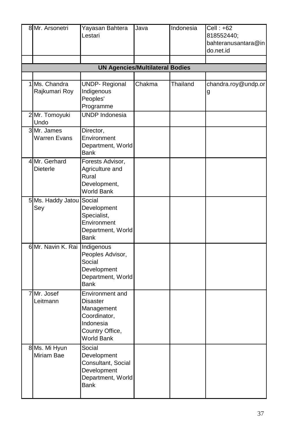|   | 8 Mr. Arsonetri                    | Yayasan Bahtera<br>Lestari                                                                              | Java   | Indonesia | Cell: +62<br>818552440;<br>bahteranusantara@in<br>do.net.id |
|---|------------------------------------|---------------------------------------------------------------------------------------------------------|--------|-----------|-------------------------------------------------------------|
|   |                                    | <b>UN Agencies/Multilateral Bodies</b>                                                                  |        |           |                                                             |
|   |                                    |                                                                                                         |        |           |                                                             |
| 1 | Ms. Chandra<br>Rajkumari Roy       | <b>UNDP-Regional</b><br>Indigenous<br>Peoples'<br>Programme                                             | Chakma | Thailand  | chandra.roy@undp.or<br>g                                    |
|   | 2 Mr. Tomoyuki<br>Undo             | <b>UNDP</b> Indonesia                                                                                   |        |           |                                                             |
|   | 3 Mr. James<br><b>Warren Evans</b> | Director,<br>Environment<br>Department, World<br><b>Bank</b>                                            |        |           |                                                             |
|   | 4 Mr. Gerhard<br><b>Dieterle</b>   | Forests Advisor,<br>Agriculture and<br>Rural<br>Development,<br><b>World Bank</b>                       |        |           |                                                             |
|   | 5 Ms. Haddy Jatou<br>Sey           | Social<br>Development<br>Specialist,<br>Environment<br>Department, World<br><b>Bank</b>                 |        |           |                                                             |
|   | 6 Mr. Navin K. Rai Indigenous      | Peoples Advisor,<br>Social<br>Development<br>Department, World<br><b>Bank</b>                           |        |           |                                                             |
| 7 | Mr. Josef<br>Leitmann              | Environment and<br>Disaster<br>Management<br>Coordinator,<br>Indonesia<br>Country Office,<br>World Bank |        |           |                                                             |
|   | 8 Ms. Mi Hyun<br>Miriam Bae        | Social<br>Development<br>Consultant, Social<br>Development<br>Department, World<br><b>Bank</b>          |        |           |                                                             |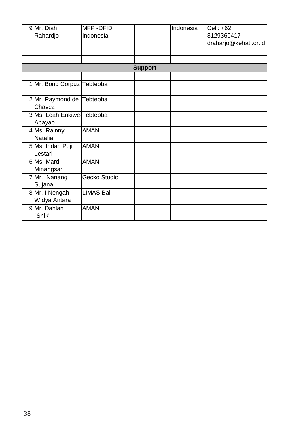| 9 Mr. Diah<br>Rahardjo               | MFP-DFID<br>Indonesia |  | Indonesia | Cell: +62<br>8129360417<br>draharjo@kehati.or.id |  |
|--------------------------------------|-----------------------|--|-----------|--------------------------------------------------|--|
|                                      |                       |  |           |                                                  |  |
| <b>Support</b>                       |                       |  |           |                                                  |  |
| 1 Mr. Bong Corpuz Tebtebba           |                       |  |           |                                                  |  |
| 2 Mr. Raymond de Tebtebba<br>Chavez  |                       |  |           |                                                  |  |
| 3 Ms. Leah Enkiwe Tebtebba<br>Abayao |                       |  |           |                                                  |  |
| 4 Ms. Rainny<br>Natalia              | <b>AMAN</b>           |  |           |                                                  |  |
| 5 Ms. Indah Puji<br>Lestari          | <b>AMAN</b>           |  |           |                                                  |  |
| 6 Ms. Mardi<br>Minangsari            | <b>AMAN</b>           |  |           |                                                  |  |
| 7 Mr. Nanang<br>Sujana               | Gecko Studio          |  |           |                                                  |  |
| 8 Mr. I Nengah<br>Widya Antara       | <b>LIMAS Bali</b>     |  |           |                                                  |  |
| 9 Mr. Dahlan<br>"Snik"               | <b>AMAN</b>           |  |           |                                                  |  |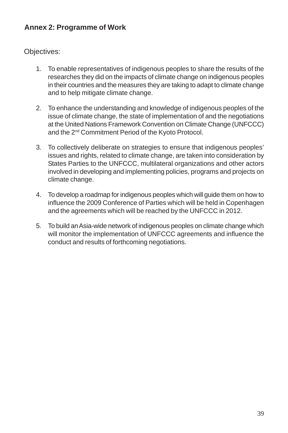## **Annex 2: Programme of Work**

Objectives:

- 1. To enable representatives of indigenous peoples to share the results of the researches they did on the impacts of climate change on indigenous peoples in their countries and the measures they are taking to adapt to climate change and to help mitigate climate change.
- 2. To enhance the understanding and knowledge of indigenous peoples of the issue of climate change, the state of implementation of and the negotiations at the United Nations Framework Convention on Climate Change (UNFCCC) and the 2nd Commitment Period of the Kyoto Protocol.
- 3. To collectively deliberate on strategies to ensure that indigenous peoples' issues and rights, related to climate change, are taken into consideration by States Parties to the UNFCCC, multilateral organizations and other actors involved in developing and implementing policies, programs and projects on climate change.
- 4. To develop a roadmap for indigenous peoples which will guide them on how to influence the 2009 Conference of Parties which will be held in Copenhagen and the agreements which will be reached by the UNFCCC in 2012.
- 5. To build an Asia-wide network of indigenous peoples on climate change which will monitor the implementation of UNFCCC agreements and influence the conduct and results of forthcoming negotiations.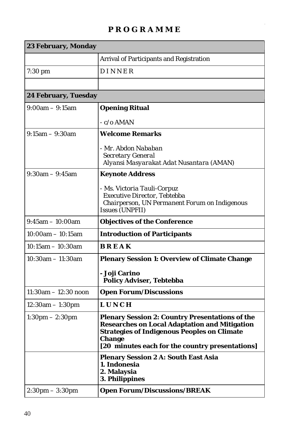# **P R O G R A M M E**

| 23 February, Monday               |                                                                                                                                                                                                                                   |  |
|-----------------------------------|-----------------------------------------------------------------------------------------------------------------------------------------------------------------------------------------------------------------------------------|--|
|                                   | <b>Arrival of Participants and Registration</b>                                                                                                                                                                                   |  |
| $7:30$ pm                         | <b>DINNER</b>                                                                                                                                                                                                                     |  |
|                                   |                                                                                                                                                                                                                                   |  |
| 24 February, Tuesday              |                                                                                                                                                                                                                                   |  |
| $9:00am - 9:15am$                 | <b>Opening Ritual</b>                                                                                                                                                                                                             |  |
|                                   | $-c/o AMAN$                                                                                                                                                                                                                       |  |
| $9:15am - 9:30am$                 | <b>Welcome Remarks</b>                                                                                                                                                                                                            |  |
|                                   | - Mr. Abdon Nababan<br><b>Secretary General</b><br>Alyansi Masyarakat Adat Nusantara (AMAN)                                                                                                                                       |  |
| $9:30$ am $-9:45$ am              | <b>Keynote Address</b>                                                                                                                                                                                                            |  |
|                                   | - Ms. Victoria Tauli-Corpuz<br>Executive Director, Tebtebba<br>Chairperson, UN Permanent Forum on Indigenous<br>Issues (UNPFII)                                                                                                   |  |
| $9:45am - 10:00am$                | <b>Objectives of the Conference</b>                                                                                                                                                                                               |  |
| $10:00am - 10:15am$               | <b>Introduction of Participants</b>                                                                                                                                                                                               |  |
| $10:15$ am $-10:30$ am            | <b>BREAK</b>                                                                                                                                                                                                                      |  |
| $10:30$ am $-11:30$ am            | <b>Plenary Session 1: Overview of Climate Change</b>                                                                                                                                                                              |  |
|                                   | - Joji Carino<br><b>Policy Adviser, Tebtebba</b>                                                                                                                                                                                  |  |
| $11:30$ am $-12:30$ noon          | <b>Open Forum/Discussions</b>                                                                                                                                                                                                     |  |
| 12:30am - 1:30pm                  | <b>LUNCH</b>                                                                                                                                                                                                                      |  |
| $1:30 \text{pm} - 2:30 \text{pm}$ | <b>Plenary Session 2: Country Presentations of the</b><br><b>Researches on Local Adaptation and Mitigation</b><br><b>Strategies of Indigenous Peoples on Climate</b><br>Change<br>[20 minutes each for the country presentations] |  |
|                                   | <b>Plenary Session 2 A: South East Asia</b><br>1. Indonesia<br>2. Malaysia<br>3. Philippines                                                                                                                                      |  |
| $2:30 \text{pm} - 3:30 \text{pm}$ | <b>Open Forum/Discussions/BREAK</b>                                                                                                                                                                                               |  |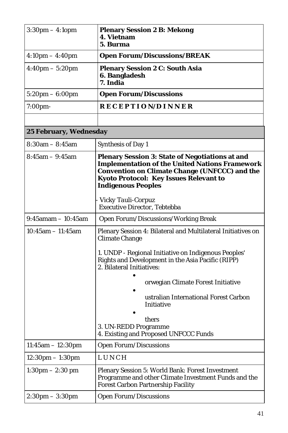| $3:30 \text{pm} - 4:10 \text{pm}$  | <b>Plenary Session 2 B: Mekong</b><br>4. Vietnam<br>5. Burma                                                                                                                                                                                          |
|------------------------------------|-------------------------------------------------------------------------------------------------------------------------------------------------------------------------------------------------------------------------------------------------------|
| $4:10 \text{pm} - 4:40 \text{pm}$  | <b>Open Forum/Discussions/BREAK</b>                                                                                                                                                                                                                   |
| $4:40 \text{pm} - 5:20 \text{pm}$  | <b>Plenary Session 2 C: South Asia</b><br>6. Bangladesh<br>7. India                                                                                                                                                                                   |
| $5:20 \text{pm} - 6:00 \text{pm}$  | <b>Open Forum/Discussions</b>                                                                                                                                                                                                                         |
| 7:00pm-                            | RECEPTION/DINNER                                                                                                                                                                                                                                      |
|                                    |                                                                                                                                                                                                                                                       |
| 25 February, Wednesday             |                                                                                                                                                                                                                                                       |
| $8:30$ am $-8:45$ am               | <b>Synthesis of Day 1</b>                                                                                                                                                                                                                             |
| $8:45am - 9:45am$                  | <b>Plenary Session 3: State of Negotiations at and</b><br><b>Implementation of the United Nations Framework</b><br><b>Convention on Climate Change (UNFCCC) and the</b><br><b>Kyoto Protocol: Key Issues Relevant to</b><br><b>Indigenous Peoples</b> |
|                                    | Vicky Tauli-Corpuz<br><b>Executive Director, Tebtebba</b>                                                                                                                                                                                             |
| $9:45$ amam $-10:45$ am            | Open Forum/Discussions/Working Break                                                                                                                                                                                                                  |
| $10:45am - 11:45am$                | Plenary Session 4: Bilateral and Multilateral Initiatives on<br><b>Climate Change</b>                                                                                                                                                                 |
|                                    | 1. UNDP - Regional Initiative on Indigenous Peoples'<br>Rights and Development in the Asia Pacific (RIPP)<br>2. Bilateral Initiatives:                                                                                                                |
|                                    | orwegian Climate Forest Initiative<br>ustralian International Forest Carbon                                                                                                                                                                           |
|                                    | Initiative                                                                                                                                                                                                                                            |
|                                    | thers<br>3. UN-REDD Programme<br>4. Existing and Proposed UNFCCC Funds                                                                                                                                                                                |
| $11:45am - 12:30pm$                | <b>Open Forum/Discussions</b>                                                                                                                                                                                                                         |
| $12:30 \text{pm} - 1:30 \text{pm}$ | LUNCH                                                                                                                                                                                                                                                 |
| $1:30 \text{pm} - 2:30 \text{pm}$  | Plenary Session 5: World Bank: Forest Investment<br>Programme and other Climate Investment Funds and the<br><b>Forest Carbon Partnership Facility</b>                                                                                                 |
| $2:30 \text{pm} - 3:30 \text{pm}$  | <b>Open Forum/Discussions</b>                                                                                                                                                                                                                         |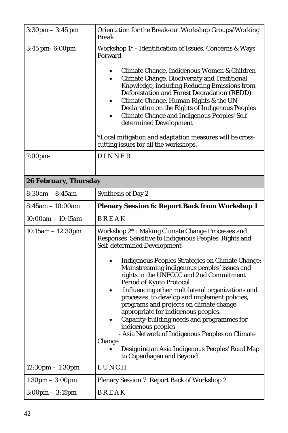| $3:30$ pm $-3:45$ pm               | Orientation for the Break-out Workshop Groups/Working<br><b>Break</b>                                                                                                                                                                                                                                                                                                                                                                                                                                                                                                                                                                                                                                                           |  |  |  |
|------------------------------------|---------------------------------------------------------------------------------------------------------------------------------------------------------------------------------------------------------------------------------------------------------------------------------------------------------------------------------------------------------------------------------------------------------------------------------------------------------------------------------------------------------------------------------------------------------------------------------------------------------------------------------------------------------------------------------------------------------------------------------|--|--|--|
| 3:45 pm- 6:00pm                    | Workshop 1* - Identification of Issues, Concerns & Ways<br>Forward<br>Climate Change, Indigenous Women & Children<br>Climate Change, Biodiversity and Traditional<br>$\bullet$<br>Knowledge, including Reducing Emissions from<br>Deforestation and Forest Degradation (REDD)<br>Climate Change, Human Rights & the UN<br>Declaration on the Rights of Indigenous Peoples<br><b>Climate Change and Indigenous Peoples' Self-</b><br>determined Development                                                                                                                                                                                                                                                                      |  |  |  |
|                                    | *Local mitigation and adaptation measures will be cross-<br>cutting issues for all the workshops.                                                                                                                                                                                                                                                                                                                                                                                                                                                                                                                                                                                                                               |  |  |  |
| 7:00pm-                            | DINNER                                                                                                                                                                                                                                                                                                                                                                                                                                                                                                                                                                                                                                                                                                                          |  |  |  |
|                                    |                                                                                                                                                                                                                                                                                                                                                                                                                                                                                                                                                                                                                                                                                                                                 |  |  |  |
| 26 February, Thursday              |                                                                                                                                                                                                                                                                                                                                                                                                                                                                                                                                                                                                                                                                                                                                 |  |  |  |
| $8:30am - 8:45am$                  | <b>Synthesis of Day 2</b>                                                                                                                                                                                                                                                                                                                                                                                                                                                                                                                                                                                                                                                                                                       |  |  |  |
| $8:45$ am $-10:00$ am              | <b>Plenary Session 6: Report Back from Workshop 1</b>                                                                                                                                                                                                                                                                                                                                                                                                                                                                                                                                                                                                                                                                           |  |  |  |
| $10:00am - 10:15am$                | BREAK                                                                                                                                                                                                                                                                                                                                                                                                                                                                                                                                                                                                                                                                                                                           |  |  |  |
| $10:15am - 12:30pm$                | Workshop 2*: Making Climate Change Processes and<br>Responses Sensitive to Indigenous Peoples' Rights and<br>Self-determined Development<br><b>Indigenous Peoples Strategies on Climate Change:</b><br>Mainstreaming indigenous peoples' issues and<br>rights in the UNFCCC and 2nd Commitment<br>Period of Kyoto Protocol<br>Influencing other multilateral organizations and<br>processes to develop and implement policies,<br>programs and projects on climate change<br>appropriate for indigenous peoples.<br>Capacity-building needs and programmes for<br>indigenous peoples<br>- Asia Network of Indigenous Peoples on Climate<br>Change<br>Designing an Asia Indigenous Peoples' Road Map<br>to Copenhagen and Beyond |  |  |  |
| $12:30 \text{pm} - 1:30 \text{pm}$ | LUNCH                                                                                                                                                                                                                                                                                                                                                                                                                                                                                                                                                                                                                                                                                                                           |  |  |  |
| $1:30 \text{pm} - 3:00 \text{pm}$  | Plenary Session 7: Report Back of Workshop 2                                                                                                                                                                                                                                                                                                                                                                                                                                                                                                                                                                                                                                                                                    |  |  |  |
| $3:00 \text{pm} - 3:15 \text{pm}$  | BREAK                                                                                                                                                                                                                                                                                                                                                                                                                                                                                                                                                                                                                                                                                                                           |  |  |  |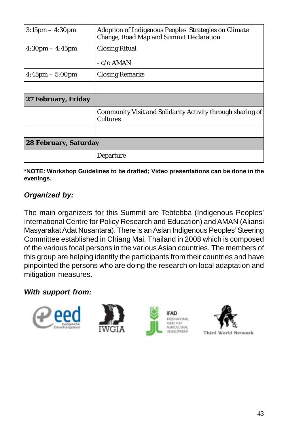| $3:15 \text{pm} - 4:30 \text{pm}$ | Adoption of Indigenous Peoples' Strategies on Climate<br>Change, Road Map and Summit Declaration |  |
|-----------------------------------|--------------------------------------------------------------------------------------------------|--|
| $4:30 \text{pm} - 4:45 \text{pm}$ | <b>Closing Ritual</b>                                                                            |  |
|                                   | $-c/\sigma$ AMAN                                                                                 |  |
| $4:45 \text{pm} - 5:00 \text{pm}$ | <b>Closing Remarks</b>                                                                           |  |
|                                   |                                                                                                  |  |
| 27 February, Friday               |                                                                                                  |  |
|                                   | Community Visit and Solidarity Activity through sharing of<br><b>Cultures</b>                    |  |
|                                   |                                                                                                  |  |
| 28 February, Saturday             |                                                                                                  |  |
|                                   | <b>Departure</b>                                                                                 |  |

**\*NOTE: Workshop Guidelines to be drafted; Video presentations can be done in the evenings.**

# *Organized by:*

The main organizers for this Summit are Tebtebba (Indigenous Peoples' International Centre for Policy Research and Education) and AMAN (Aliansi Masyarakat Adat Nusantara). There is an Asian Indigenous Peoples' Steering Committee established in Chiang Mai, Thailand in 2008 which is composed of the various focal persons in the various Asian countries. The members of this group are helping identify the participants from their countries and have pinpointed the persons who are doing the research on local adaptation and mitigation measures.

## *With support from:*

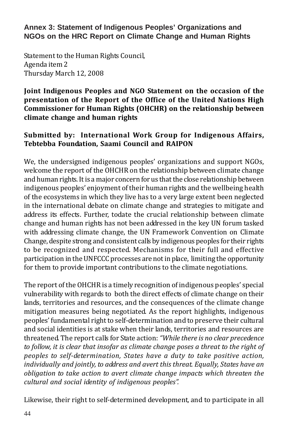**Annex 3: Statement of Indigenous Peoples' Organizations and NGOs on the HRC Report on Climate Change and Human Rights**

Statement to the Human Rights Council, Agenda item 2 Thursday March 12, 2008

## **Joint Indigenous Peoples and NGO Statement on the occasion of the presentation of the Report of the Office of the United Nations High Commissioner for Human Rights (OHCHR) on the relationship between climate change and human rights**

## **Submitted by: International Work Group for Indigenous Affairs, Tebtebba Foundation, Saami Council and RAIPON**

We, the undersigned indigenous peoples' organizations and support NGOs, welcome the report of the OHCHR on the relationship between climate change and human rights. It is a major concern for us that the close relationship between indigenous peoples' enjoyment of their human rights and the wellbeing health of the ecosystems in which they live has to a very large extent been neglected in the international debate on climate change and strategies to mitigate and address its effects. Further, todate the crucial relationship between climate change and human rights has not been addressed in the key UN forum tasked with addressing climate change, the UN Framework Convention on Climate Change, despite strong and consistent calls by indigenous peoples for their rights to be recognized and respected. Mechanisms for their full and effective participation in the UNFCCC processes are not in place, limiting the opportunity for them to provide important contributions to the climate negotiations.

The report of the OHCHR is a timely recognition of indigenous peoples' special vulnerability with regards to both the direct effects of climate change on their lands, territories and resources, and the consequences of the climate change mitigation measures being negotiated. As the report highlights, indigenous peoples' fundamental right to self-determination and to preserve their cultural and social identities is at stake when their lands, territories and resources are threatened. The report calls for State action: *"While there is no clear precedence to follow, it is clear that insofar as climate change poses a threat to the right of peoples to self-determination, States have a duty to take positive action, individually and jointly, to address and avert this threat. Equally, States have an obligation to take action to avert climate change impacts which threaten the cultural and social identity of indigenous peoples".*

Likewise, their right to self-determined development, and to participate in all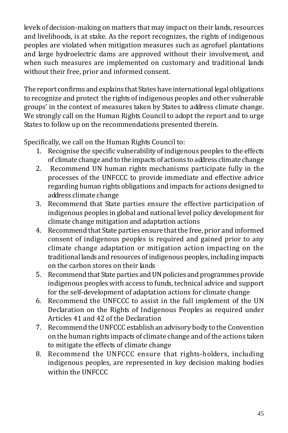levels of decision-making on matters that may impact on their lands, resources and livelihoods, is at stake. As the report recognizes, the rights of indigenous peoples are violated when mitigation measures such as agrofuel plantations and large hydroelectric dams are approved without their involvement, and when such measures are implemented on customary and traditional lands without their free, prior and informed consent.

The report confirms and explains that States have international legal obligations to recognize and protect the rights of indigenous peoples and other vulnerable groups' in the context of measures taken by States to address climate change. We strongly call on the Human Rights Council to adopt the report and to urge States to follow up on the recommendations presented therein.

Specifically, we call on the Human Rights Council to:

- 1. Recognise the specific vulnerability of indigenous peoples to the effects of climate change and to the impacts of actions to address climate change
- 2. Recommend UN human rights mechanisms participate fully in the processes of the UNFCCC to provide immediate and effective advice regarding human rights obligations and impacts for actions designed to address climate change
- 3. Recommend that State parties ensure the effective participation of indigenous peoples in global and national level policy development for climate change mitigation and adaptation actions
- 4. Recommend that State parties ensure that the free, prior and informed consent of indigenous peoples is required and gained prior to any climate change adaptation or mitigation action impacting on the traditional lands and resources of indigenous peoples, including impacts on the carbon stores on their lands
- 5. Recommend that State parties and UN policies and programmes provide indigenous peoples with access to funds, technical advice and support for the self-development of adaptation actions for climate change
- 6. Recommend the UNFCCC to assist in the full implement of the UN Declaration on the Rights of Indigenous Peoples as required under Articles 41 and 42 of the Declaration
- 7. Recommend the UNFCCC establish an advisory body to the Convention on the human rights impacts of climate change and of the actions taken to mitigate the effects of climate change
- 8. Recommend the UNFCCC ensure that rights-holders, including indigenous peoples, are represented in key decision making bodies within the UNFCCC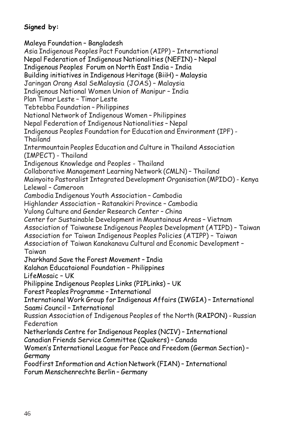# **Signed by:**

Maleya Foundation – Bangladesh Asia Indigenous Peoples Pact Foundation (AIPP) – International Nepal Federation of Indigenous Nationalities (NEFIN) – Nepal Indigenous Peoples Forum on North East India – India Building initiatives in Indigenous Heritage (BiiH) – Malaysia Jaringan Orang Asal SeMalaysia (JOAS) – Malaysia Indigenous National Women Union of Manipur – India Plan Timor Leste – Timor Leste Tebtebba Foundation – Philippines National Network of Indigenous Women – Philippines Nepal Federation of Indigenous Nationalities – Nepal Indigenous Peoples Foundation for Education and Environment (IPF) - Thailand Intermountain Peoples Education and Culture in Thailand Association (IMPECT) - Thailand Indigenous Knowledge and Peoples - Thailand Collaborative Management Learning Network (CMLN) – Thailand Mainyoito Pastoralist Integrated Development Organisation (MPIDO) - Kenya Lelewal – Cameroon Cambodia Indigenous Youth Association – Cambodia Highlander Association – Ratanakiri Province – Cambodia Yulong Culture and Gender Research Center – China Center for Sustainable Development in Mountainous Areas – Vietnam Association of Taiwanese Indigenous Peoples Development (ATIPD) – Taiwan Association for Taiwan Indigenous Peoples Policies (ATIPP) – Taiwan Association of Taiwan Kanakanavu Cultural and Economic Development – Taiwan Jharkhand Save the Forest Movement – India Kalahan Educataional Foundation – Philippines LifeMosaic – UK Philippine Indigenous Peoples Links (PIPLinks) – UK Forest Peoples Programme – International International Work Group for Indigenous Affairs (IWGIA) – International Saami Council – International Russian Association of Indigenous Peoples of the North (RAIPON) - Russian Federation Netherlands Centre for Indigenous Peoples (NCIV) – International Canadian Friends Service Committee (Quakers) – Canada Women's International League for Peace and Freedom (German Section) – Germany Foodfirst Information and Action Network (FIAN) – International

Forum Menschenrechte Berlin – Germany